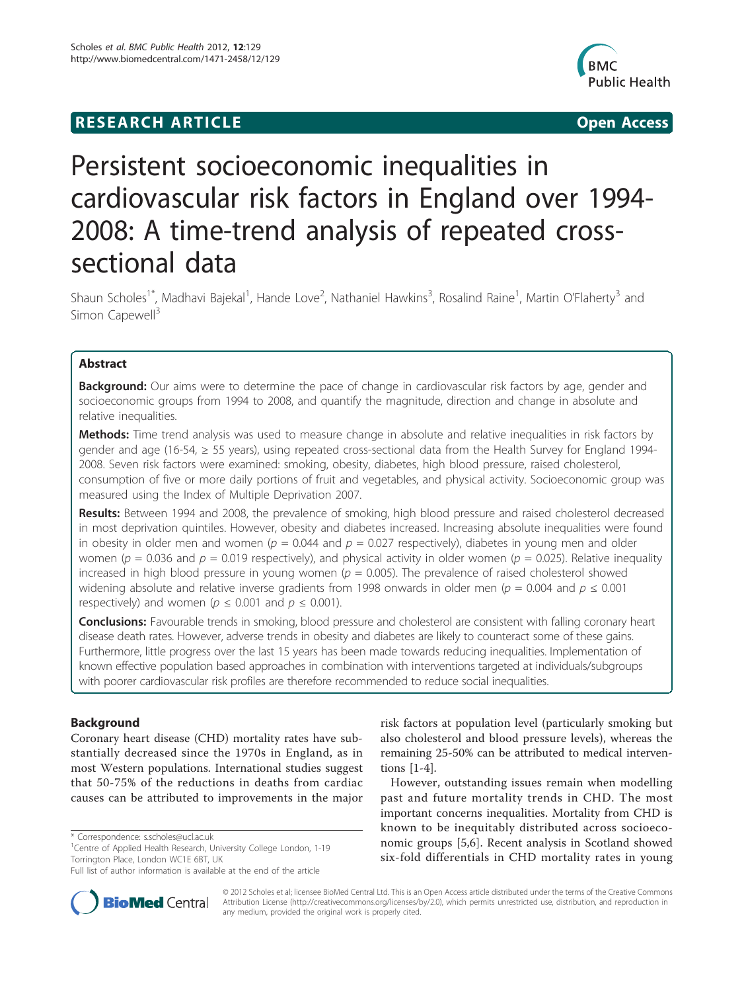# **RESEARCH ARTICLE Example 2018 12:00 Open Access**



# Persistent socioeconomic inequalities in cardiovascular risk factors in England over 1994- 2008: A time-trend analysis of repeated crosssectional data

Shaun Scholes<sup>1\*</sup>, Madhavi Bajekal<sup>1</sup>, Hande Love<sup>2</sup>, Nathaniel Hawkins<sup>3</sup>, Rosalind Raine<sup>1</sup>, Martin O'Flaherty<sup>3</sup> and Simon Capewell $3$ 

# Abstract

**Background:** Our aims were to determine the pace of change in cardiovascular risk factors by age, gender and socioeconomic groups from 1994 to 2008, and quantify the magnitude, direction and change in absolute and relative inequalities.

Methods: Time trend analysis was used to measure change in absolute and relative inequalities in risk factors by gender and age (16-54, ≥ 55 years), using repeated cross-sectional data from the Health Survey for England 1994- 2008. Seven risk factors were examined: smoking, obesity, diabetes, high blood pressure, raised cholesterol, consumption of five or more daily portions of fruit and vegetables, and physical activity. Socioeconomic group was measured using the Index of Multiple Deprivation 2007.

Results: Between 1994 and 2008, the prevalence of smoking, high blood pressure and raised cholesterol decreased in most deprivation quintiles. However, obesity and diabetes increased. Increasing absolute inequalities were found in obesity in older men and women ( $p = 0.044$  and  $p = 0.027$  respectively), diabetes in young men and older women ( $p = 0.036$  and  $p = 0.019$  respectively), and physical activity in older women ( $p = 0.025$ ). Relative inequality increased in high blood pressure in young women ( $p = 0.005$ ). The prevalence of raised cholesterol showed widening absolute and relative inverse gradients from 1998 onwards in older men ( $p = 0.004$  and  $p \le 0.001$ respectively) and women ( $p \le 0.001$  and  $p \le 0.001$ ).

**Conclusions:** Favourable trends in smoking, blood pressure and cholesterol are consistent with falling coronary heart disease death rates. However, adverse trends in obesity and diabetes are likely to counteract some of these gains. Furthermore, little progress over the last 15 years has been made towards reducing inequalities. Implementation of known effective population based approaches in combination with interventions targeted at individuals/subgroups with poorer cardiovascular risk profiles are therefore recommended to reduce social inequalities.

# Background

Coronary heart disease (CHD) mortality rates have substantially decreased since the 1970s in England, as in most Western populations. International studies suggest that 50-75% of the reductions in deaths from cardiac causes can be attributed to improvements in the major



However, outstanding issues remain when modelling past and future mortality trends in CHD. The most important concerns inequalities. Mortality from CHD is known to be inequitably distributed across socioeconomic groups [[5,6](#page-12-0)]. Recent analysis in Scotland showed six-fold differentials in CHD mortality rates in young



© 2012 Scholes et al; licensee BioMed Central Ltd. This is an Open Access article distributed under the terms of the Creative Commons Attribution License [\(http://creativecommons.org/licenses/by/2.0](http://creativecommons.org/licenses/by/2.0)), which permits unrestricted use, distribution, and reproduction in any medium, provided the original work is properly cited.

<sup>\*</sup> Correspondence: [s.scholes@ucl.ac.uk](mailto:s.scholes@ucl.ac.uk)

<sup>&</sup>lt;sup>1</sup> Centre of Applied Health Research, University College London, 1-19 Torrington Place, London WC1E 6BT, UK

Full list of author information is available at the end of the article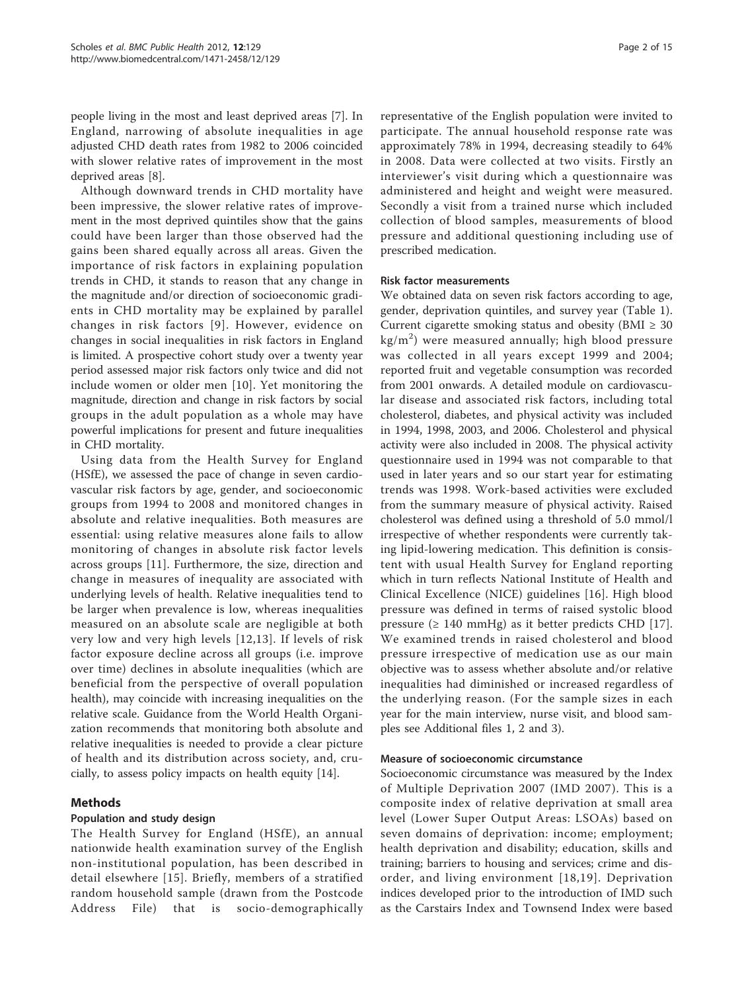people living in the most and least deprived areas [\[7](#page-12-0)]. In England, narrowing of absolute inequalities in age adjusted CHD death rates from 1982 to 2006 coincided with slower relative rates of improvement in the most deprived areas [[8\]](#page-12-0).

Although downward trends in CHD mortality have been impressive, the slower relative rates of improvement in the most deprived quintiles show that the gains could have been larger than those observed had the gains been shared equally across all areas. Given the importance of risk factors in explaining population trends in CHD, it stands to reason that any change in the magnitude and/or direction of socioeconomic gradients in CHD mortality may be explained by parallel changes in risk factors [[9](#page-12-0)]. However, evidence on changes in social inequalities in risk factors in England is limited. A prospective cohort study over a twenty year period assessed major risk factors only twice and did not include women or older men [[10](#page-12-0)]. Yet monitoring the magnitude, direction and change in risk factors by social groups in the adult population as a whole may have powerful implications for present and future inequalities in CHD mortality.

Using data from the Health Survey for England (HSfE), we assessed the pace of change in seven cardiovascular risk factors by age, gender, and socioeconomic groups from 1994 to 2008 and monitored changes in absolute and relative inequalities. Both measures are essential: using relative measures alone fails to allow monitoring of changes in absolute risk factor levels across groups [\[11](#page-12-0)]. Furthermore, the size, direction and change in measures of inequality are associated with underlying levels of health. Relative inequalities tend to be larger when prevalence is low, whereas inequalities measured on an absolute scale are negligible at both very low and very high levels [[12,13](#page-13-0)]. If levels of risk factor exposure decline across all groups (i.e. improve over time) declines in absolute inequalities (which are beneficial from the perspective of overall population health), may coincide with increasing inequalities on the relative scale. Guidance from the World Health Organization recommends that monitoring both absolute and relative inequalities is needed to provide a clear picture of health and its distribution across society, and, crucially, to assess policy impacts on health equity [[14\]](#page-13-0).

# Methods

# Population and study design

The Health Survey for England (HSfE), an annual nationwide health examination survey of the English non-institutional population, has been described in detail elsewhere [[15](#page-13-0)]. Briefly, members of a stratified random household sample (drawn from the Postcode Address File) that is socio-demographically

representative of the English population were invited to participate. The annual household response rate was approximately 78% in 1994, decreasing steadily to 64% in 2008. Data were collected at two visits. Firstly an interviewer's visit during which a questionnaire was administered and height and weight were measured. Secondly a visit from a trained nurse which included collection of blood samples, measurements of blood pressure and additional questioning including use of prescribed medication.

#### Risk factor measurements

We obtained data on seven risk factors according to age, gender, deprivation quintiles, and survey year (Table [1](#page-2-0)). Current cigarette smoking status and obesity ( $BMI \geq 30$  $\text{kg/m}^2$ ) were measured annually; high blood pressure was collected in all years except 1999 and 2004; reported fruit and vegetable consumption was recorded from 2001 onwards. A detailed module on cardiovascular disease and associated risk factors, including total cholesterol, diabetes, and physical activity was included in 1994, 1998, 2003, and 2006. Cholesterol and physical activity were also included in 2008. The physical activity questionnaire used in 1994 was not comparable to that used in later years and so our start year for estimating trends was 1998. Work-based activities were excluded from the summary measure of physical activity. Raised cholesterol was defined using a threshold of 5.0 mmol/l irrespective of whether respondents were currently taking lipid-lowering medication. This definition is consistent with usual Health Survey for England reporting which in turn reflects National Institute of Health and Clinical Excellence (NICE) guidelines [\[16](#page-13-0)]. High blood pressure was defined in terms of raised systolic blood pressure ( $\geq 140$  mmHg) as it better predicts CHD [\[17](#page-13-0)]. We examined trends in raised cholesterol and blood pressure irrespective of medication use as our main objective was to assess whether absolute and/or relative inequalities had diminished or increased regardless of the underlying reason. (For the sample sizes in each year for the main interview, nurse visit, and blood samples see Additional files [1, 2](#page-12-0) and [3\)](#page-12-0).

# Measure of socioeconomic circumstance

Socioeconomic circumstance was measured by the Index of Multiple Deprivation 2007 (IMD 2007). This is a composite index of relative deprivation at small area level (Lower Super Output Areas: LSOAs) based on seven domains of deprivation: income; employment; health deprivation and disability; education, skills and training; barriers to housing and services; crime and disorder, and living environment [[18,19](#page-13-0)]. Deprivation indices developed prior to the introduction of IMD such as the Carstairs Index and Townsend Index were based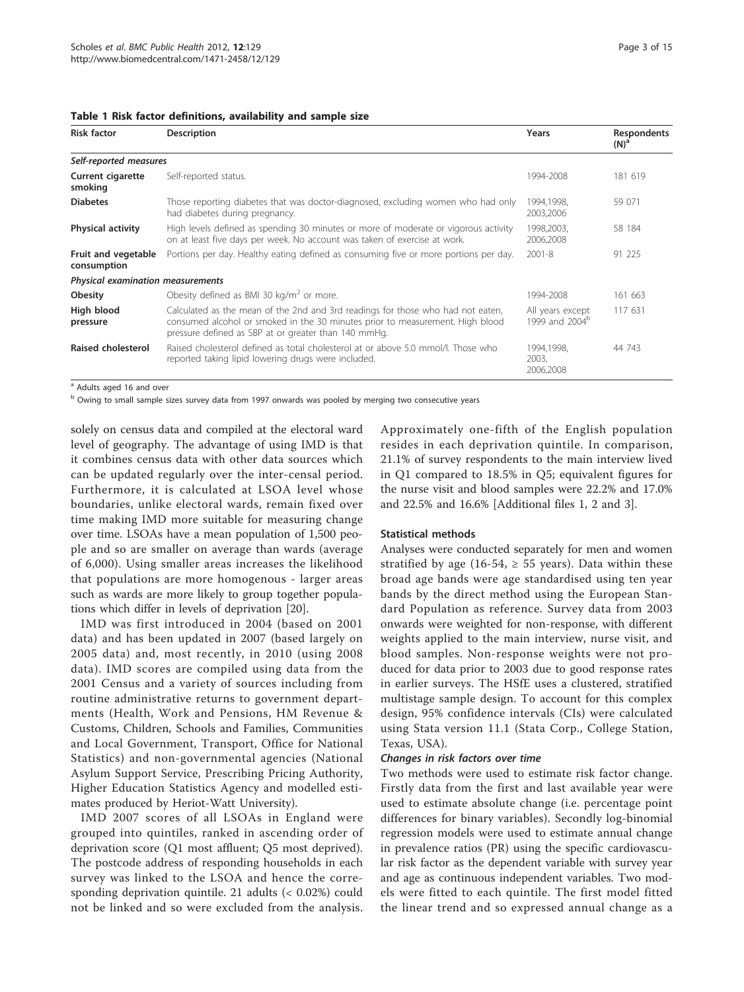| <b>Risk factor</b>                  | <b>Description</b>                                                                                                                                                                                                       | Years                                          | <b>Respondents</b><br>$(N)^a$ |
|-------------------------------------|--------------------------------------------------------------------------------------------------------------------------------------------------------------------------------------------------------------------------|------------------------------------------------|-------------------------------|
| Self-reported measures              |                                                                                                                                                                                                                          |                                                |                               |
| <b>Current cigarette</b><br>smoking | Self-reported status.                                                                                                                                                                                                    | 1994-2008                                      | 181 619                       |
| <b>Diabetes</b>                     | Those reporting diabetes that was doctor-diagnosed, excluding women who had only<br>had diabetes during pregnancy.                                                                                                       | 1994,1998,<br>2003,2006                        | 59 071                        |
| <b>Physical activity</b>            | High levels defined as spending 30 minutes or more of moderate or vigorous activity<br>on at least five days per week. No account was taken of exercise at work.                                                         | 1998,2003,<br>2006,2008                        | 58 184                        |
| Fruit and vegetable<br>consumption  | Portions per day. Healthy eating defined as consuming five or more portions per day.                                                                                                                                     | $2001 - 8$                                     | 91 225                        |
| Physical examination measurements   |                                                                                                                                                                                                                          |                                                |                               |
| <b>Obesity</b>                      | Obesity defined as BMI 30 kg/m <sup>2</sup> or more.                                                                                                                                                                     | 1994-2008                                      | 161 663                       |
| High blood<br>pressure              | Calculated as the mean of the 2nd and 3rd readings for those who had not eaten,<br>consumed alcohol or smoked in the 30 minutes prior to measurement. High blood<br>pressure defined as SBP at or greater than 140 mmHg. | All years except<br>1999 and 2004 <sup>b</sup> | 117 631                       |
| Raised cholesterol                  | Raised cholesterol defined as total cholesterol at or above 5.0 mmol/l. Those who<br>reported taking lipid lowering drugs were included.                                                                                 | 1994,1998,<br>2003,<br>2006,2008               | 44 743                        |

#### <span id="page-2-0"></span>Table 1 Risk factor definitions, availability and sample size

<sup>a</sup> Adults aged 16 and over

<sup>b</sup> Owing to small sample sizes survey data from 1997 onwards was pooled by merging two consecutive years

solely on census data and compiled at the electoral ward level of geography. The advantage of using IMD is that it combines census data with other data sources which can be updated regularly over the inter-censal period. Furthermore, it is calculated at LSOA level whose boundaries, unlike electoral wards, remain fixed over time making IMD more suitable for measuring change over time. LSOAs have a mean population of 1,500 people and so are smaller on average than wards (average of 6,000). Using smaller areas increases the likelihood that populations are more homogenous - larger areas such as wards are more likely to group together populations which differ in levels of deprivation [\[20\]](#page-13-0).

IMD was first introduced in 2004 (based on 2001 data) and has been updated in 2007 (based largely on 2005 data) and, most recently, in 2010 (using 2008 data). IMD scores are compiled using data from the 2001 Census and a variety of sources including from routine administrative returns to government departments (Health, Work and Pensions, HM Revenue & Customs, Children, Schools and Families, Communities and Local Government, Transport, Office for National Statistics) and non-governmental agencies (National Asylum Support Service, Prescribing Pricing Authority, Higher Education Statistics Agency and modelled estimates produced by Heriot-Watt University).

IMD 2007 scores of all LSOAs in England were grouped into quintiles, ranked in ascending order of deprivation score (Q1 most affluent; Q5 most deprived). The postcode address of responding households in each survey was linked to the LSOA and hence the corresponding deprivation quintile. 21 adults (< 0.02%) could not be linked and so were excluded from the analysis. Approximately one-fifth of the English population resides in each deprivation quintile. In comparison, 21.1% of survey respondents to the main interview lived in Q1 compared to 18.5% in Q5; equivalent figures for the nurse visit and blood samples were 22.2% and 17.0% and 22.5% and 16.6% [Additional files [1](#page-12-0), [2](#page-12-0) and [3\]](#page-12-0).

#### Statistical methods

Analyses were conducted separately for men and women stratified by age (16-54,  $\geq$  55 years). Data within these broad age bands were age standardised using ten year bands by the direct method using the European Standard Population as reference. Survey data from 2003 onwards were weighted for non-response, with different weights applied to the main interview, nurse visit, and blood samples. Non-response weights were not produced for data prior to 2003 due to good response rates in earlier surveys. The HSfE uses a clustered, stratified multistage sample design. To account for this complex design, 95% confidence intervals (CIs) were calculated using Stata version 11.1 (Stata Corp., College Station, Texas, USA).

#### Changes in risk factors over time

Two methods were used to estimate risk factor change. Firstly data from the first and last available year were used to estimate absolute change (i.e. percentage point differences for binary variables). Secondly log-binomial regression models were used to estimate annual change in prevalence ratios (PR) using the specific cardiovascular risk factor as the dependent variable with survey year and age as continuous independent variables. Two models were fitted to each quintile. The first model fitted the linear trend and so expressed annual change as a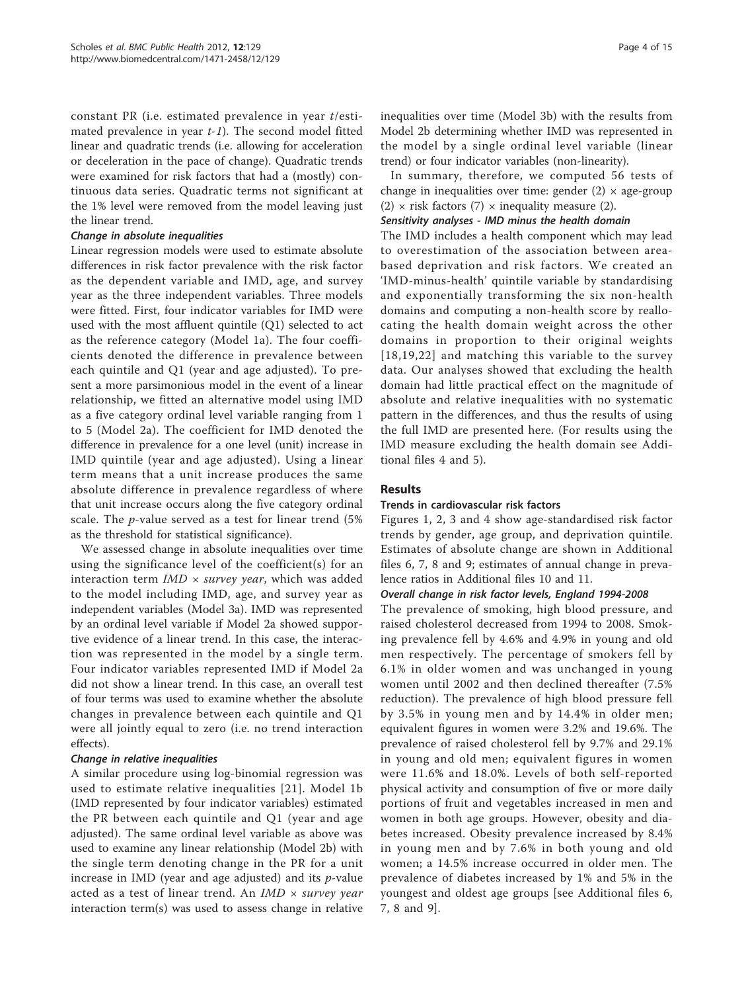constant PR (i.e. estimated prevalence in year t/estimated prevalence in year t-1). The second model fitted linear and quadratic trends (i.e. allowing for acceleration or deceleration in the pace of change). Quadratic trends were examined for risk factors that had a (mostly) continuous data series. Quadratic terms not significant at the 1% level were removed from the model leaving just the linear trend.

#### Change in absolute inequalities

Linear regression models were used to estimate absolute differences in risk factor prevalence with the risk factor as the dependent variable and IMD, age, and survey year as the three independent variables. Three models were fitted. First, four indicator variables for IMD were used with the most affluent quintile (Q1) selected to act as the reference category (Model 1a). The four coefficients denoted the difference in prevalence between each quintile and Q1 (year and age adjusted). To present a more parsimonious model in the event of a linear relationship, we fitted an alternative model using IMD as a five category ordinal level variable ranging from 1 to 5 (Model 2a). The coefficient for IMD denoted the difference in prevalence for a one level (unit) increase in IMD quintile (year and age adjusted). Using a linear term means that a unit increase produces the same absolute difference in prevalence regardless of where that unit increase occurs along the five category ordinal scale. The  $p$ -value served as a test for linear trend  $(5\%$ as the threshold for statistical significance).

We assessed change in absolute inequalities over time using the significance level of the coefficient(s) for an interaction term  $IMD \times survey \, year$ , which was added to the model including IMD, age, and survey year as independent variables (Model 3a). IMD was represented by an ordinal level variable if Model 2a showed supportive evidence of a linear trend. In this case, the interaction was represented in the model by a single term. Four indicator variables represented IMD if Model 2a did not show a linear trend. In this case, an overall test of four terms was used to examine whether the absolute changes in prevalence between each quintile and Q1 were all jointly equal to zero (i.e. no trend interaction effects).

# Change in relative inequalities

A similar procedure using log-binomial regression was used to estimate relative inequalities [[21\]](#page-13-0). Model 1b (IMD represented by four indicator variables) estimated the PR between each quintile and Q1 (year and age adjusted). The same ordinal level variable as above was used to examine any linear relationship (Model 2b) with the single term denoting change in the PR for a unit increase in IMD (year and age adjusted) and its  $p$ -value acted as a test of linear trend. An  $IMD \times survey$  year interaction term(s) was used to assess change in relative inequalities over time (Model 3b) with the results from Model 2b determining whether IMD was represented in the model by a single ordinal level variable (linear trend) or four indicator variables (non-linearity).

In summary, therefore, we computed 56 tests of change in inequalities over time: gender  $(2) \times$  age-group  $(2)$  × risk factors  $(7)$  × inequality measure  $(2)$ .

#### Sensitivity analyses - IMD minus the health domain

The IMD includes a health component which may lead to overestimation of the association between areabased deprivation and risk factors. We created an 'IMD-minus-health' quintile variable by standardising and exponentially transforming the six non-health domains and computing a non-health score by reallocating the health domain weight across the other domains in proportion to their original weights [[18](#page-13-0),[19,22\]](#page-13-0) and matching this variable to the survey data. Our analyses showed that excluding the health domain had little practical effect on the magnitude of absolute and relative inequalities with no systematic pattern in the differences, and thus the results of using the full IMD are presented here. (For results using the IMD measure excluding the health domain see Additional files [4](#page-12-0) and [5\)](#page-12-0).

# Results

# Trends in cardiovascular risk factors

Figures [1,](#page-4-0) [2,](#page-5-0) [3](#page-6-0) and [4](#page-7-0) show age-standardised risk factor trends by gender, age group, and deprivation quintile. Estimates of absolute change are shown in Additional files [6, 7](#page-12-0), [8](#page-12-0) and [9;](#page-12-0) estimates of annual change in prevalence ratios in Additional files [10](#page-12-0) and [11](#page-12-0).

# Overall change in risk factor levels, England 1994-2008

The prevalence of smoking, high blood pressure, and raised cholesterol decreased from 1994 to 2008. Smoking prevalence fell by 4.6% and 4.9% in young and old men respectively. The percentage of smokers fell by 6.1% in older women and was unchanged in young women until 2002 and then declined thereafter (7.5% reduction). The prevalence of high blood pressure fell by 3.5% in young men and by 14.4% in older men; equivalent figures in women were 3.2% and 19.6%. The prevalence of raised cholesterol fell by 9.7% and 29.1% in young and old men; equivalent figures in women were 11.6% and 18.0%. Levels of both self-reported physical activity and consumption of five or more daily portions of fruit and vegetables increased in men and women in both age groups. However, obesity and diabetes increased. Obesity prevalence increased by 8.4% in young men and by 7.6% in both young and old women; a 14.5% increase occurred in older men. The prevalence of diabetes increased by 1% and 5% in the youngest and oldest age groups [see Additional files [6](#page-12-0), [7, 8](#page-12-0) and [9](#page-12-0)].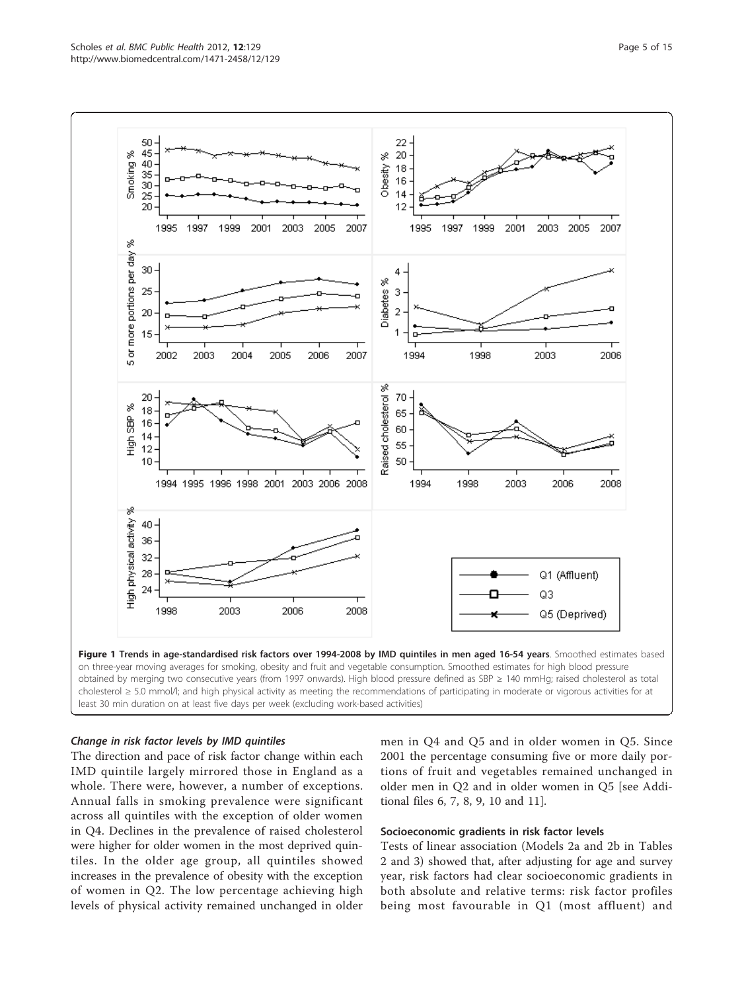<span id="page-4-0"></span>

Change in risk factor levels by IMD quintiles The direction and pace of risk factor change within each

IMD quintile largely mirrored those in England as a whole. There were, however, a number of exceptions. Annual falls in smoking prevalence were significant across all quintiles with the exception of older women in Q4. Declines in the prevalence of raised cholesterol were higher for older women in the most deprived quintiles. In the older age group, all quintiles showed increases in the prevalence of obesity with the exception of women in Q2. The low percentage achieving high levels of physical activity remained unchanged in older men in Q4 and Q5 and in older women in Q5. Since 2001 the percentage consuming five or more daily portions of fruit and vegetables remained unchanged in older men in Q2 and in older women in Q5 [see Additional files [6](#page-12-0), [7, 8, 9](#page-12-0), [10](#page-12-0) and [11](#page-12-0)].

# Socioeconomic gradients in risk factor levels

Tests of linear association (Models 2a and 2b in Tables [2](#page-8-0) and [3](#page-9-0)) showed that, after adjusting for age and survey year, risk factors had clear socioeconomic gradients in both absolute and relative terms: risk factor profiles being most favourable in Q1 (most affluent) and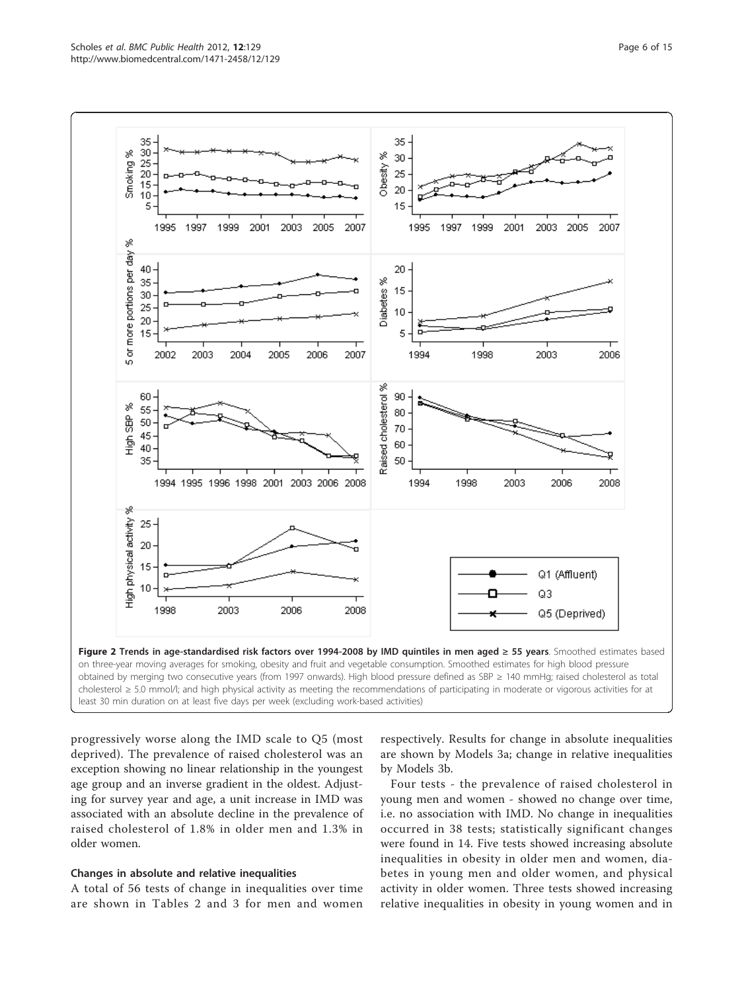<span id="page-5-0"></span>

progressively worse along the IMD scale to Q5 (most deprived). The prevalence of raised cholesterol was an exception showing no linear relationship in the youngest age group and an inverse gradient in the oldest. Adjusting for survey year and age, a unit increase in IMD was associated with an absolute decline in the prevalence of raised cholesterol of 1.8% in older men and 1.3% in older women.

#### Changes in absolute and relative inequalities

A total of 56 tests of change in inequalities over time are shown in Tables [2](#page-8-0) and [3](#page-9-0) for men and women

respectively. Results for change in absolute inequalities are shown by Models 3a; change in relative inequalities by Models 3b.

Four tests - the prevalence of raised cholesterol in young men and women - showed no change over time, i.e. no association with IMD. No change in inequalities occurred in 38 tests; statistically significant changes were found in 14. Five tests showed increasing absolute inequalities in obesity in older men and women, diabetes in young men and older women, and physical activity in older women. Three tests showed increasing relative inequalities in obesity in young women and in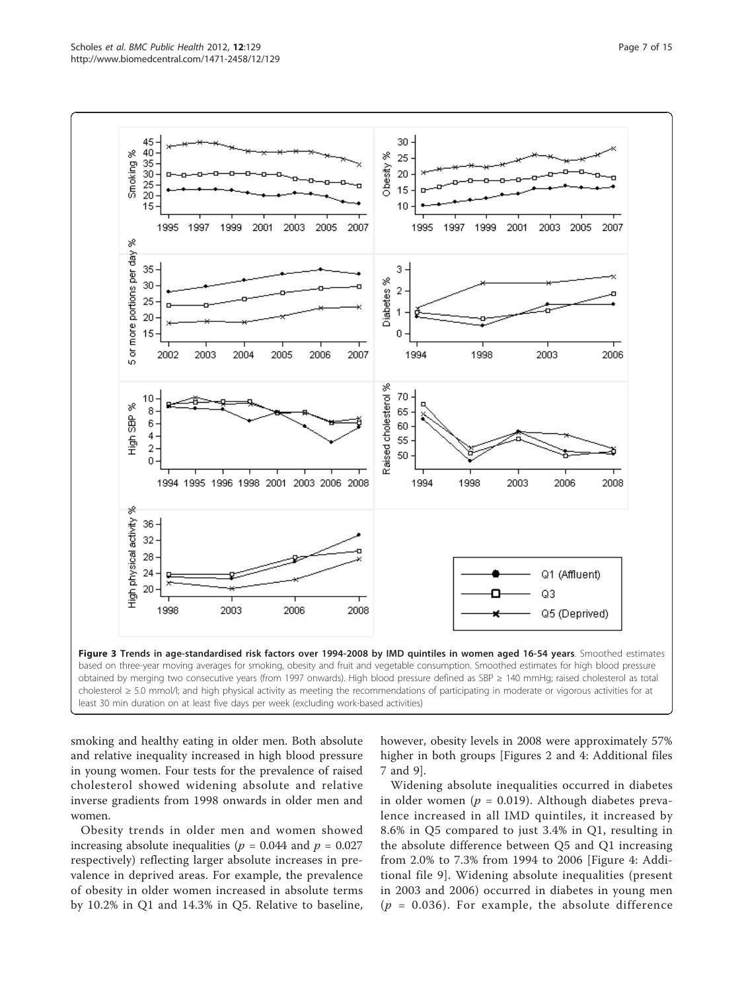<span id="page-6-0"></span>

smoking and healthy eating in older men. Both absolute and relative inequality increased in high blood pressure in young women. Four tests for the prevalence of raised cholesterol showed widening absolute and relative inverse gradients from 1998 onwards in older men and women.

Obesity trends in older men and women showed increasing absolute inequalities ( $p = 0.044$  and  $p = 0.027$ respectively) reflecting larger absolute increases in prevalence in deprived areas. For example, the prevalence of obesity in older women increased in absolute terms by 10.2% in Q1 and 14.3% in Q5. Relative to baseline, however, obesity levels in 2008 were approximately 57% higher in both groups [Figures [2](#page-5-0) and [4](#page-7-0): Additional files [7](#page-12-0) and [9\]](#page-12-0).

Widening absolute inequalities occurred in diabetes in older women ( $p = 0.019$ ). Although diabetes prevalence increased in all IMD quintiles, it increased by 8.6% in Q5 compared to just 3.4% in Q1, resulting in the absolute difference between Q5 and Q1 increasing from 2.0% to 7.3% from 1994 to 2006 [Figure [4:](#page-7-0) Additional file [9](#page-12-0)]. Widening absolute inequalities (present in 2003 and 2006) occurred in diabetes in young men  $(p = 0.036)$ . For example, the absolute difference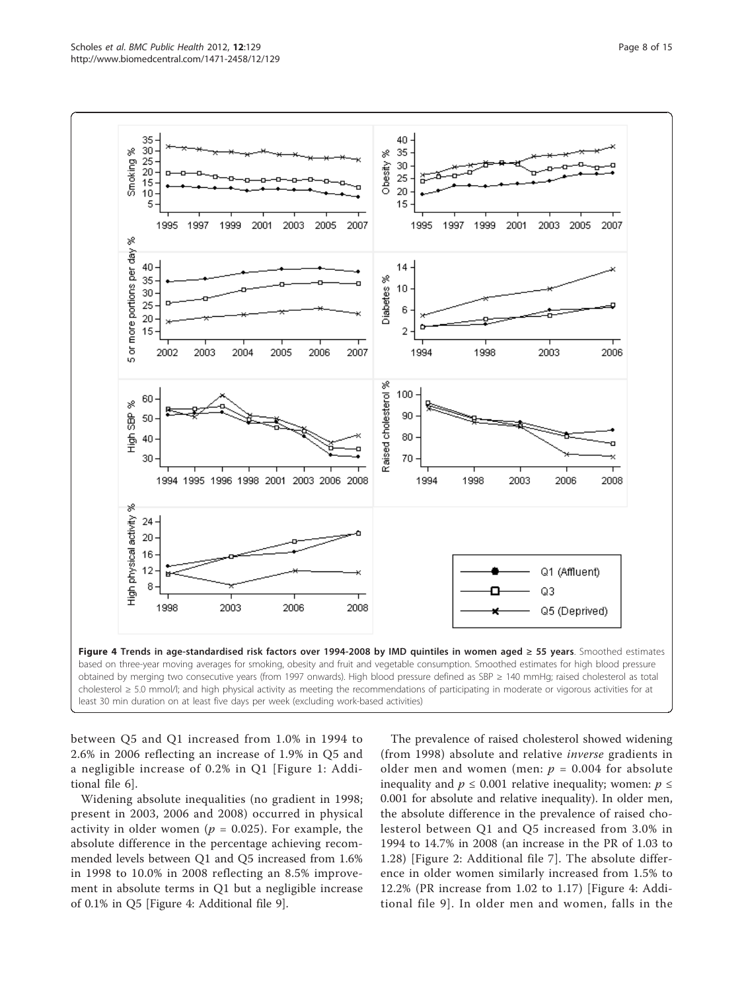<span id="page-7-0"></span>

between Q5 and Q1 increased from 1.0% in 1994 to 2.6% in 2006 reflecting an increase of 1.9% in Q5 and a negligible increase of 0.2% in Q1 [Figure [1](#page-4-0): Additional file [6\]](#page-12-0).

Widening absolute inequalities (no gradient in 1998; present in 2003, 2006 and 2008) occurred in physical activity in older women ( $p = 0.025$ ). For example, the absolute difference in the percentage achieving recommended levels between Q1 and Q5 increased from 1.6% in 1998 to 10.0% in 2008 reflecting an 8.5% improvement in absolute terms in Q1 but a negligible increase of 0.1% in Q5 [Figure 4: Additional file [9\]](#page-12-0).

The prevalence of raised cholesterol showed widening (from 1998) absolute and relative inverse gradients in older men and women (men:  $p = 0.004$  for absolute inequality and  $p \leq 0.001$  relative inequality; women:  $p \leq$ 0.001 for absolute and relative inequality). In older men, the absolute difference in the prevalence of raised cholesterol between Q1 and Q5 increased from 3.0% in 1994 to 14.7% in 2008 (an increase in the PR of 1.03 to 1.28) [Figure [2:](#page-5-0) Additional file [7](#page-12-0)]. The absolute difference in older women similarly increased from 1.5% to 12.2% (PR increase from 1.02 to 1.17) [Figure 4: Additional file [9\]](#page-12-0). In older men and women, falls in the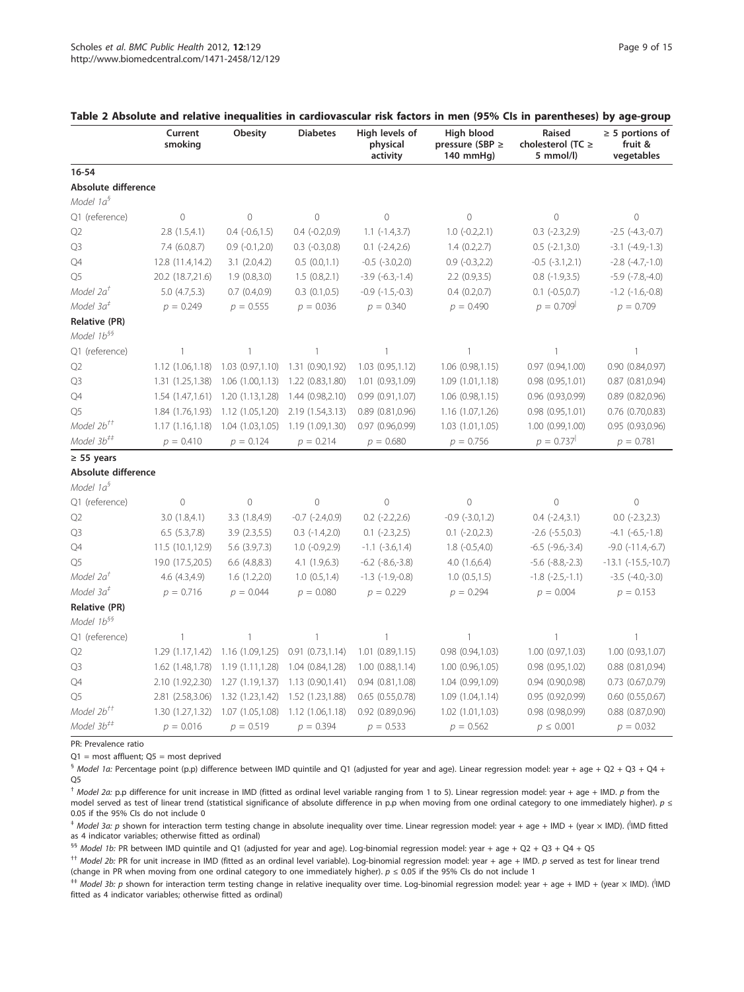|                        | Current<br>smoking | Obesity           | <b>Diabetes</b>       | High levels of<br>physical<br>activity | High blood<br>pressure (SBP $\ge$<br>140 mmHq) | Raised<br>cholesterol (TC $\ge$<br>5 mmol/l) | $\geq$ 5 portions of<br>fruit &<br>vegetables |
|------------------------|--------------------|-------------------|-----------------------|----------------------------------------|------------------------------------------------|----------------------------------------------|-----------------------------------------------|
| $16 - 54$              |                    |                   |                       |                                        |                                                |                                              |                                               |
| Absolute difference    |                    |                   |                       |                                        |                                                |                                              |                                               |
| Model 1a <sup>§</sup>  |                    |                   |                       |                                        |                                                |                                              |                                               |
| Q1 (reference)         | $\mathcal{O}$      | $\overline{0}$    | $\overline{0}$        | $\overline{0}$                         | $\overline{0}$                                 | $\overline{0}$                               | $\overline{0}$                                |
| Q2                     | 2.8(1.5,4.1)       | $0.4 (-0.6, 1.5)$ | $0.4 (-0.2, 0.9)$     | $1.1$ $(-1.4,3.7)$                     | $1.0$ $(-0.2, 2.1)$                            | $0.3$ $(-2.3,2.9)$                           | $-2.5$ $(-4.3,-0.7)$                          |
| Q3                     | 7.4(6.0,8.7)       | $0.9(-0.1,2.0)$   | $0.3$ $(-0.3,0.8)$    | $0.1$ $(-2.4, 2.6)$                    | 1.4(0.2, 2.7)                                  | $0.5$ $(-2.1,3.0)$                           | $-3.1$ $(-4.9,-1.3)$                          |
| Q4                     | 12.8 (11.4,14.2)   | 3.1 (2.0, 4.2)    | 0.5(0.0,1.1)          | $-0.5$ $(-3.0,2.0)$                    | $0.9$ ( $-0.3,2.2$ )                           | $-0.5$ $(-3.1,2.1)$                          | $-2.8$ $(-4.7,-1.0)$                          |
| Q5                     | 20.2 (18.7,21.6)   | 1.9(0.8, 3.0)     | 1.5(0.8, 2.1)         | $-3.9$ $(-6.3,-1.4)$                   | $2.2$ (0.9,3.5)                                | $0.8$ $(-1.9,3.5)$                           | $-5.9$ $(-7.8,-4.0)$                          |
| Model 2a <sup>t</sup>  | 5.0(4.7,5.3)       | 0.7(0.4,0.9)      | $0.3$ $(0.1, 0.5)$    | $-0.9$ $(-1.5,-0.3)$                   | 0.4(0.2,0.7)                                   | $0.1$ (-0.5,0.7)                             | $-1.2$ $(-1.6,-0.8)$                          |
| Model $3a^{\ddagger}$  | $p = 0.249$        | $p = 0.555$       | $p = 0.036$           | $p = 0.340$                            | $p = 0.490$                                    | $p = 0.709$                                  | $p = 0.709$                                   |
| Relative (PR)          |                    |                   |                       |                                        |                                                |                                              |                                               |
| Model 1b <sup>§§</sup> |                    |                   |                       |                                        |                                                |                                              |                                               |
| Q1 (reference)         | $\mathbf{1}$       | $\mathbf{1}$      | 1                     | $\mathbf{1}$                           | $\mathbf{1}$                                   | $\mathbf{1}$                                 | $\mathbf{1}$                                  |
| Q <sub>2</sub>         | 1.12(1.06, 1.18)   | 1.03 (0.97,1.10)  | 1.31 (0.90,1.92)      | 1.03 (0.95,1.12)                       | 1.06 (0.98,1.15)                               | 0.97(0.94, 1.00)                             | 0.90 (0.84,0.97)                              |
| Q3                     | 1.31 (1.25,1.38)   | 1.06 (1.00,1.13)  | 1.22 (0.83,1.80)      | 1.01 (0.93,1.09)                       | 1.09 (1.01,1.18)                               | 0.98(0.95, 1.01)                             | $0.87$ $(0.81, 0.94)$                         |
| Q4                     | 1.54 (1.47,1.61)   | 1.20 (1.13,1.28)  | 1.44 (0.98,2.10)      | 0.99 (0.91,1.07)                       | 1.06 (0.98,1.15)                               | 0.96 (0.93,0.99)                             | 0.89 (0.82,0.96)                              |
| Q5                     | 1.84 (1.76,1.93)   | 1.12 (1.05,1.20)  | 2.19 (1.54,3.13)      | $0.89$ $(0.81, 0.96)$                  | 1.16 (1.07,1.26)                               | 0.98(0.95, 1.01)                             | 0.76 (0.70,0.83)                              |
| Model 2b <sup>††</sup> | 1.17(1.16, 1.18)   | 1.04 (1.03,1.05)  | 1.19 (1.09,1.30)      | 0.97 (0.96,0.99)                       | 1.03 (1.01,1.05)                               | 1.00 (0.99,1.00)                             | 0.95 (0.93,0.96)                              |
| Model $3b^{++}$        | $p = 0.410$        | $p = 0.124$       | $p = 0.214$           | $p = 0.680$                            | $p = 0.756$                                    | $p = 0.737$                                  | $p = 0.781$                                   |
| $\geq$ 55 years        |                    |                   |                       |                                        |                                                |                                              |                                               |
| Absolute difference    |                    |                   |                       |                                        |                                                |                                              |                                               |
| Model 1a <sup>§</sup>  |                    |                   |                       |                                        |                                                |                                              |                                               |
| Q1 (reference)         | $\mathcal{O}$      | $\mathbf 0$       | $\Omega$              | $\bigcirc$                             | $\mathbf 0$                                    | $\circ$                                      | $\mathbf{0}$                                  |
| Q2                     | 3.0(1.8,4.1)       | 3.3 (1.8,4.9)     | $-0.7$ $(-2.4,0.9)$   | $0.2$ (-2.2,2.6)                       | $-0.9$ $(-3.0,1.2)$                            | $0.4$ $(-2.4,3.1)$                           | $0.0$ (-2.3,2.3)                              |
| Q3                     | 6.5(5.3,7.8)       | 3.9(2.3,5.5)      | $0.3$ $(-1.4,2.0)$    | $0.1$ (-2.3,2.5)                       | $0.1$ (-2.0,2.3)                               | $-2.6$ $(-5.5,0.3)$                          | $-4.1$ $(-6.5,-1.8)$                          |
| Q4                     | 11.5 (10.1,12.9)   | 5.6 (3.9,7.3)     | $1.0$ (-0.9,2.9)      | $-1.1$ $(-3.6, 1.4)$                   | $1.8(-0.5,4.0)$                                | $-6.5$ $(-9.6,-3.4)$                         | $-9.0$ $(-11.4,-6.7)$                         |
| Q5                     | 19.0 (17.5,20.5)   | $6.6$ $(4.8,8.3)$ | 4.1(1.9,6.3)          | $-6.2$ $(-8.6,-3.8)$                   | 4.0(1.6,6.4)                                   | $-5.6$ $(-8.8,-2.3)$                         | $-13.1$ $(-15.5,-10.7)$                       |
| Model 2a <sup>t</sup>  | 4.6 (4.3,4.9)      | 1.6(1.2,2.0)      | 1.0(0.5, 1.4)         | $-1.3$ $(-1.9,-0.8)$                   | 1.0(0.5,1.5)                                   | $-1.8$ $(-2.5,-1.1)$                         | $-3.5$ $(-4.0,-3.0)$                          |
| Model $3a^{\ddagger}$  | $p = 0.716$        | $p = 0.044$       | $p = 0.080$           | $p = 0.229$                            | $p = 0.294$                                    | $p = 0.004$                                  | $p = 0.153$                                   |
| Relative (PR)          |                    |                   |                       |                                        |                                                |                                              |                                               |
| Model 1b <sup>§§</sup> |                    |                   |                       |                                        |                                                |                                              |                                               |
| Q1 (reference)         | $\mathbf{1}$       | $\mathbf{1}$      | $\mathbf{1}$          | $\mathbf{1}$                           | $\mathbf{1}$                                   | $\mathbf{1}$                                 | $\mathbf{1}$                                  |
| Q2                     | 1.29 (1.17,1.42)   | 1.16 (1.09,1.25)  | $0.91$ $(0.73, 1.14)$ | 1.01 (0.89,1.15)                       | 0.98 (0.94,1.03)                               | 1.00 (0.97,1.03)                             | 1.00 (0.93,1.07)                              |
| Q3                     | 1.62 (1.48,1.78)   | 1.19 (1.11,1.28)  | 1.04 (0.84,1.28)      | 1.00 (0.88,1.14)                       | 1.00 (0.96,1.05)                               | 0.98 (0.95,1.02)                             | 0.88 (0.81,0.94)                              |
| Q4                     | 2.10 (1.92,2.30)   | 1.27 (1.19,1.37)  | 1.13 (0.90,1.41)      | 0.94(0.81, 1.08)                       | 1.04 (0.99,1.09)                               | 0.94(0.90, 0.98)                             | 0.73 (0.67,0.79)                              |
| Q5                     | 2.81 (2.58,3.06)   | 1.32 (1.23,1.42)  | 1.52 (1.23,1.88)      | $0.65$ $(0.55, 0.78)$                  | 1.09 (1.04,1.14)                               | 0.95 (0.92,0.99)                             | $0.60$ $(0.55, 0.67)$                         |
| Model 2b <sup>++</sup> | 1.30 (1.27,1.32)   | 1.07 (1.05,1.08)  | 1.12 (1.06,1.18)      | 0.92 (0.89,0.96)                       | 1.02 (1.01,1.03)                               | 0.98 (0.98,0.99)                             | 0.88 (0.87,0.90)                              |
| Model $3b^{tt}$        | $p = 0.016$        | $p = 0.519$       | $p = 0.394$           | $p = 0.533$                            | $p = 0.562$                                    | $p \le 0.001$                                | $p = 0.032$                                   |
| PR: Prevalence ratio   |                    |                   |                       |                                        |                                                |                                              |                                               |

#### <span id="page-8-0"></span>Table 2 Absolute and relative inequalities in cardiovascular risk factors in men (95% CIs in parentheses) by age-group

Q1 = most affluent; Q5 = most deprived

 $6$  Model 1a: Percentage point (p.p) difference between IMD quintile and Q1 (adjusted for year and age). Linear regression model: year + age + Q2 + Q3 + Q4 +  $O<sub>5</sub>$ 

 $^{\dagger}$  Model 2a: p.p difference for unit increase in IMD (fitted as ordinal level variable ranging from 1 to 5). Linear regression model: year + age + IMD. p from the model served as test of linear trend (statistical significance of absolute difference in p.p when moving from one ordinal category to one immediately higher).  $p \le$ 0.05 if the 95% CIs do not include 0

‡ Model 3a: p shown for interaction term testing change in absolute inequality over time. Linear regression model: year + age + IMD + (year × IMD). (<sup>|</sup> IMD fitted as 4 indicator variables; otherwise fitted as ordinal)

 $$^{56}$  Model 1b: PR between IMD quintile and Q1 (adjusted for year and age). Log-binomial regression model: year + age + Q2 + Q3 + Q4 + Q5

†† Model 2b: PR for unit increase in IMD (fitted as an ordinal level variable). Log-binomial regression model: year + age + IMD. p served as test for linear trend (change in PR when moving from one ordinal category to one immediately higher).  $p \le 0.05$  if the 95% CIs do not include 1

 $^{++}$  Model 3b: p shown for interaction term testing change in relative inequality over time. Log-binomial regression model: year + age + IMD + (year × IMD). ( ${}^{\dagger}$ IMD fitted as 4 indicator variables; otherwise fitted as ordinal)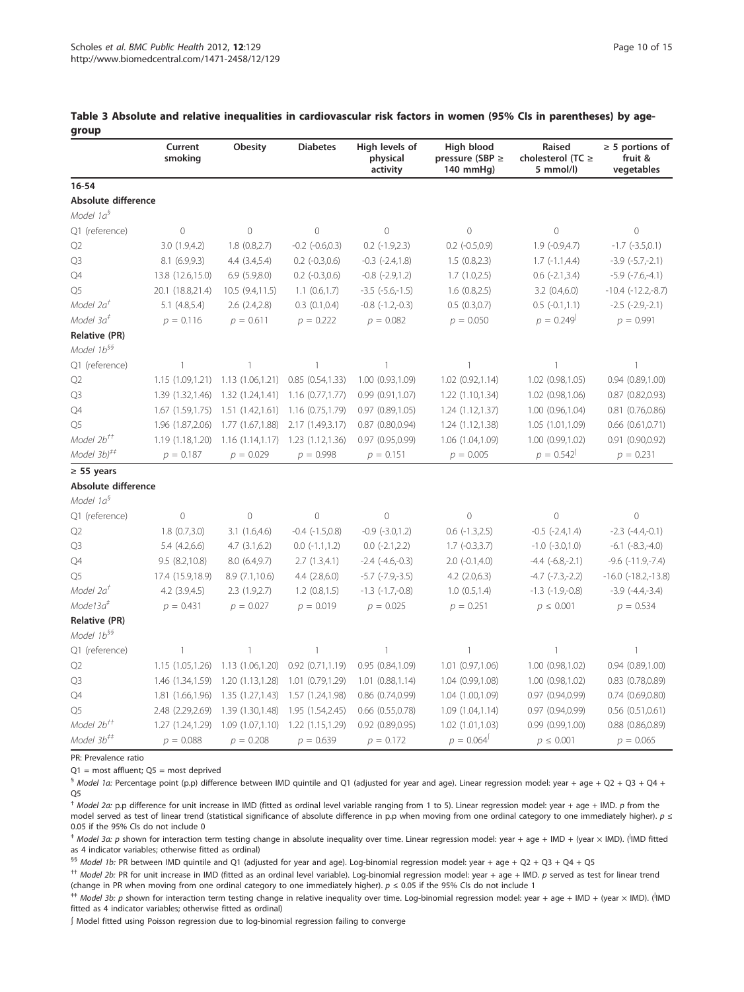|                           | Current<br>smoking | Obesity            | <b>Diabetes</b>      | High levels of<br>physical<br>activity | High blood<br>pressure (SBP $\ge$<br>140 mmHg) | <b>Raised</b><br>cholesterol (TC $\ge$<br>5 mmol/l) | $\geq$ 5 portions of<br>fruit &<br>vegetables |
|---------------------------|--------------------|--------------------|----------------------|----------------------------------------|------------------------------------------------|-----------------------------------------------------|-----------------------------------------------|
| $16 - 54$                 |                    |                    |                      |                                        |                                                |                                                     |                                               |
| Absolute difference       |                    |                    |                      |                                        |                                                |                                                     |                                               |
| Model 1a <sup>§</sup>     |                    |                    |                      |                                        |                                                |                                                     |                                               |
| Q1 (reference)            | $\mathbf{0}$       | $\overline{0}$     | $\mathbf{0}$         | $\bigcirc$                             | $\overline{0}$                                 | $\mathbf 0$                                         | $\mathbf{0}$                                  |
| Q <sub>2</sub>            | 3.0 (1.9,4.2)      | 1.8(0.8, 2.7)      | $-0.2$ $(-0.6, 0.3)$ | $0.2$ ( $-1.9,2.3$ )                   | $0.2$ ( $-0.5,0.9$ )                           | $1.9(-0.9, 4.7)$                                    | $-1.7$ $(-3.5,0.1)$                           |
| Q3                        | 8.1(6.9, 9.3)      | 4.4(3.4,5.4)       | $0.2$ ( $-0.3,0.6$ ) | $-0.3$ $(-2.4, 1.8)$                   | 1.5(0.8,2.3)                                   | $1.7$ (-1.1,4.4)                                    | $-3.9$ $(-5.7,-2.1)$                          |
| Q4                        | 13.8 (12.6,15.0)   | 6.9(5.9,8.0)       | $0.2$ ( $-0.3,0.6$ ) | $-0.8$ $(-2.9, 1.2)$                   | 1.7(1.0,2.5)                                   | $0.6$ $(-2.1, 3.4)$                                 | $-5.9$ $(-7.6,-4.1)$                          |
| Q5                        | 20.1 (18.8,21.4)   | 10.5 (9.4,11.5)    | $1.1$ $(0.6, 1.7)$   | $-3.5$ $(-5.6,-1.5)$                   | 1.6(0.8,2.5)                                   | $3.2$ $(0.4,6.0)$                                   | $-10.4$ $(-12.2,-8.7)$                        |
| Model 2a <sup>t</sup>     | 5.1(4.8,5.4)       | $2.6$ $(2.4, 2.8)$ | $0.3$ $(0.1, 0.4)$   | $-0.8$ $(-1.2,-0.3)$                   | 0.5(0.3,0.7)                                   | $0.5$ $(-0.1,1.1)$                                  | $-2.5$ $(-2.9,-2.1)$                          |
| Model 3a <sup>‡</sup>     | $p = 0.116$        | $p = 0.611$        | $p = 0.222$          | $p = 0.082$                            | $p = 0.050$                                    | $p = 0.249$                                         | $p = 0.991$                                   |
| <b>Relative (PR)</b>      |                    |                    |                      |                                        |                                                |                                                     |                                               |
| Model 1b <sup>§§</sup>    |                    |                    |                      |                                        |                                                |                                                     |                                               |
| Q1 (reference)            | $\mathbf{1}$       | $\mathbf{1}$       | $\overline{1}$       | $\mathbf{1}$                           | $\mathbf{1}$                                   | $\mathbf{1}$                                        | $\mathbf{1}$                                  |
| Q <sub>2</sub>            | 1.15 (1.09,1.21)   | 1.13 (1.06,1.21)   | 0.85(0.54, 1.33)     | 1.00 (0.93,1.09)                       | 1.02 (0.92,1.14)                               | 1.02 (0.98,1.05)                                    | $0.94$ $(0.89, 1.00)$                         |
| Q3                        | 1.39 (1.32,1.46)   | 1.32 (1.24,1.41)   | 1.16(0.77, 1.77)     | 0.99(0.91, 1.07)                       | 1.22 (1.10,1.34)                               | 1.02 (0.98,1.06)                                    | $0.87$ $(0.82, 0.93)$                         |
| Q4                        | 1.67 (1.59,1.75)   | 1.51 (1.42,1.61)   | 1.16 (0.75,1.79)     | 0.97(0.89, 1.05)                       | 1.24 (1.12,1.37)                               | 1.00 (0.96,1.04)                                    | $0.81$ $(0.76, 0.86)$                         |
| Q5                        | 1.96 (1.87,2.06)   | 1.77 (1.67,1.88)   | 2.17 (1.49,3.17)     | $0.87$ $(0.80, 0.94)$                  | 1.24 (1.12,1.38)                               | 1.05 (1.01,1.09)                                    | $0.66$ $(0.61, 0.71)$                         |
| Model $2b^{tt}$           | 1.19 (1.18,1.20)   | 1.16(1.14, 1.17)   | 1.23 (1.12,1.36)     | 0.97 (0.95,0.99)                       | 1.06 (1.04,1.09)                               | 1.00 (0.99,1.02)                                    | 0.91 (0.90,0.92)                              |
| Model $3b)$ <sup>##</sup> | $p = 0.187$        | $p = 0.029$        | $p = 0.998$          | $p = 0.151$                            | $p = 0.005$                                    | $p = 0.542$                                         | $p = 0.231$                                   |
| $\geq$ 55 years           |                    |                    |                      |                                        |                                                |                                                     |                                               |
| Absolute difference       |                    |                    |                      |                                        |                                                |                                                     |                                               |
| Model 1a <sup>§</sup>     |                    |                    |                      |                                        |                                                |                                                     |                                               |
| Q1 (reference)            | $\circledcirc$     | $\mathbf 0$        | $\circ$              | $\circledcirc$                         | $\circ$                                        | $\circ$                                             | $\overline{0}$                                |
| Q <sub>2</sub>            | 1.8(0.7,3.0)       | 3.1(1.6,4.6)       | $-0.4$ $(-1.5,0.8)$  | $-0.9$ $(-3.0,1.2)$                    | $0.6$ $(-1.3,2.5)$                             | $-0.5$ $(-2.4, 1.4)$                                | $-2.3$ $(-4.4,-0.1)$                          |
| Q3                        | 5.4(4.2,6.6)       | 4.7(3.1,6.2)       | $0.0$ $(-1.1, 1.2)$  | $0.0$ (-2.1,2.2)                       | $1.7$ (-0.3,3.7)                               | $-1.0$ $(-3.0,1.0)$                                 | $-6.1$ $(-8.3,-4.0)$                          |
| Q4                        | 9.5 (8.2,10.8)     | 8.0 (6.4,9.7)      | 2.7(1.3,4.1)         | $-2.4$ $(-4.6,-0.3)$                   | $2.0$ (-0.1,4.0)                               | $-4.4$ $(-6.8,-2.1)$                                | $-9.6$ $(-11.9,-7.4)$                         |
| Q5                        | 17.4 (15.9,18.9)   | 8.9 (7.1,10.6)     | 4.4(2.8,6.0)         | $-5.7$ $(-7.9,-3.5)$                   | $4.2$ $(2.0,6.3)$                              | $-4.7$ $(-7.3,-2.2)$                                | $-16.0$ $(-18.2,-13.8)$                       |
| Model 2a <sup>t</sup>     | $4.2$ $(3.9,4.5)$  | 2.3(1.9,2.7)       | 1.2(0.8, 1.5)        | $-1.3$ $(-1.7,-0.8)$                   | 1.0(0.5,1.4)                                   | $-1.3$ $(-1.9,-0.8)$                                | $-3.9$ $(-4.4,-3.4)$                          |
| Mode13a <sup>‡</sup>      | $p = 0.431$        | $p = 0.027$        | $p = 0.019$          | $p = 0.025$                            | $p = 0.251$                                    | $p \le 0.001$                                       | $p = 0.534$                                   |
| <b>Relative (PR)</b>      |                    |                    |                      |                                        |                                                |                                                     |                                               |
| Model 1b <sup>§§</sup>    |                    |                    |                      |                                        |                                                |                                                     |                                               |
| Q1 (reference)            | 1                  | 1                  | $\mathbf{1}$         | $\mathbb{1}$                           | $\mathbf{1}$                                   | $\mathbf{1}$                                        | $\mathbf{1}$                                  |
| Q <sub>2</sub>            | 1.15 (1.05,1.26)   | 1.13 (1.06,1.20)   | 0.92 (0.71,1.19)     | 0.95 (0.84,1.09)                       | 1.01 (0.97,1.06)                               | 1.00 (0.98,1.02)                                    | $0.94$ $(0.89, 1.00)$                         |
| Q3                        | 1.46 (1.34,1.59)   | 1.20 (1.13,1.28)   | 1.01 (0.79,1.29)     | 1.01 (0.88,1.14)                       | 1.04 (0.99,1.08)                               | 1.00 (0.98,1.02)                                    | $0.83$ $(0.78, 0.89)$                         |
| Q4                        | 1.81 (1.66,1.96)   | 1.35 (1.27,1.43)   | 1.57 (1.24,1.98)     | $0.86$ $(0.74, 0.99)$                  | 1.04 (1.00,1.09)                               | 0.97 (0.94,0.99)                                    | $0.74$ $(0.69, 0.80)$                         |
| Q5                        | 2.48 (2.29,2.69)   | 1.39 (1.30,1.48)   | 1.95 (1.54,2.45)     | $0.66$ $(0.55, 0.78)$                  | 1.09(1.04,1.14)                                | 0.97(0.94, 0.99)                                    | $0.56$ $(0.51, 0.61)$                         |
| Model 2b <sup>++</sup>    | 1.27 (1.24,1.29)   | 1.09 (1.07,1.10)   | 1.22 (1.15,1.29)     | 0.92 (0.89,0.95)                       | 1.02 (1.01,1.03)                               | 0.99(0.99, 1.00)                                    | 0.88 (0.86,0.89)                              |
| Model $3b^{tt}$           | $p = 0.088$        | $p = 0.208$        | $p = 0.639$          | $p = 0.172$                            | $p = 0.064^{\circ}$                            | $p \le 0.001$                                       | $p = 0.065$                                   |

<span id="page-9-0"></span>

| Table 3 Absolute and relative inequalities in cardiovascular risk factors in women (95% CIs in parentheses) by age- |  |  |  |  |  |
|---------------------------------------------------------------------------------------------------------------------|--|--|--|--|--|
| group                                                                                                               |  |  |  |  |  |

PR: Prevalence ratio

 $Q1$  = most affluent;  $Q5$  = most deprived

 $$$  Model 1a: Percentage point (p.p) difference between IMD quintile and Q1 (adjusted for year and age). Linear regression model: year + age + Q2 + Q3 + Q4 + Q5

 $^{\dagger}$  Model 2a: p.p difference for unit increase in IMD (fitted as ordinal level variable ranging from 1 to 5). Linear regression model: year + age + IMD. p from the model served as test of linear trend (statistical significance of absolute difference in p.p when moving from one ordinal category to one immediately higher).  $p \le$ 0.05 if the 95% CIs do not include 0

 $^{\ddagger}$  Model 3a: p shown for interaction term testing change in absolute inequality over time. Linear regression model: year + age + IMD + (year × IMD). (IMD fitted as 4 indicator variables; otherwise fitted as ordinal)

 $$^{56}$  Model 1b: PR between IMD quintile and Q1 (adjusted for year and age). Log-binomial regression model: year + age + Q2 + Q3 + Q4 + Q5

†† Model 2b: PR for unit increase in IMD (fitted as an ordinal level variable). Log-binomial regression model: year + age + IMD. p served as test for linear trend (change in PR when moving from one ordinal category to one immediately higher).  $p \le 0.05$  if the 95% CIs do not include 1

 $^{++}$  Model 3b: p shown for interaction term testing change in relative inequality over time. Log-binomial regression model: year + age + IMD + (year × IMD). ( IMD fitted as 4 indicator variables; otherwise fitted as ordinal)

∫ Model fitted using Poisson regression due to log-binomial regression failing to converge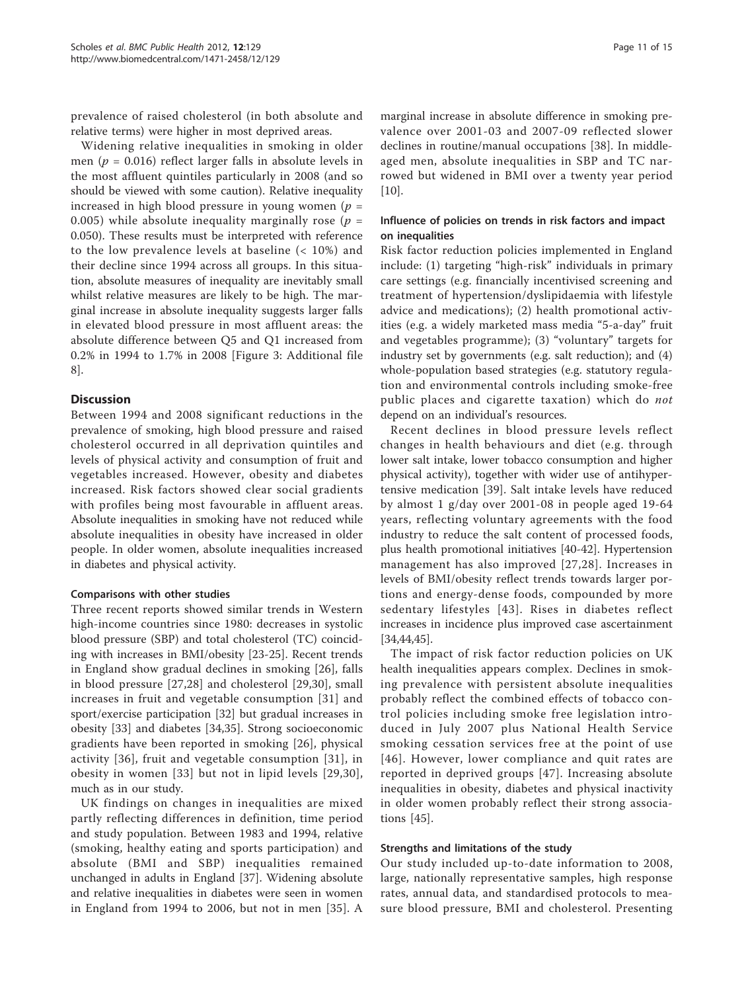prevalence of raised cholesterol (in both absolute and relative terms) were higher in most deprived areas.

Widening relative inequalities in smoking in older men ( $p = 0.016$ ) reflect larger falls in absolute levels in the most affluent quintiles particularly in 2008 (and so should be viewed with some caution). Relative inequality increased in high blood pressure in young women ( $p =$ 0.005) while absolute inequality marginally rose ( $p =$ 0.050). These results must be interpreted with reference to the low prevalence levels at baseline (< 10%) and their decline since 1994 across all groups. In this situation, absolute measures of inequality are inevitably small whilst relative measures are likely to be high. The marginal increase in absolute inequality suggests larger falls in elevated blood pressure in most affluent areas: the absolute difference between Q5 and Q1 increased from 0.2% in 1994 to 1.7% in 2008 [Figure [3:](#page-6-0) Additional file [8\]](#page-12-0).

# **Discussion**

Between 1994 and 2008 significant reductions in the prevalence of smoking, high blood pressure and raised cholesterol occurred in all deprivation quintiles and levels of physical activity and consumption of fruit and vegetables increased. However, obesity and diabetes increased. Risk factors showed clear social gradients with profiles being most favourable in affluent areas. Absolute inequalities in smoking have not reduced while absolute inequalities in obesity have increased in older people. In older women, absolute inequalities increased in diabetes and physical activity.

#### Comparisons with other studies

Three recent reports showed similar trends in Western high-income countries since 1980: decreases in systolic blood pressure (SBP) and total cholesterol (TC) coinciding with increases in BMI/obesity [[23-25](#page-13-0)]. Recent trends in England show gradual declines in smoking [[26](#page-13-0)], falls in blood pressure [\[27,28\]](#page-13-0) and cholesterol [\[29](#page-13-0),[30\]](#page-13-0), small increases in fruit and vegetable consumption [[31](#page-13-0)] and sport/exercise participation [[32](#page-13-0)] but gradual increases in obesity [\[33](#page-13-0)] and diabetes [[34,35\]](#page-13-0). Strong socioeconomic gradients have been reported in smoking [[26\]](#page-13-0), physical activity [[36\]](#page-13-0), fruit and vegetable consumption [[31\]](#page-13-0), in obesity in women [[33\]](#page-13-0) but not in lipid levels [[29](#page-13-0),[30](#page-13-0)], much as in our study.

UK findings on changes in inequalities are mixed partly reflecting differences in definition, time period and study population. Between 1983 and 1994, relative (smoking, healthy eating and sports participation) and absolute (BMI and SBP) inequalities remained unchanged in adults in England [[37\]](#page-13-0). Widening absolute and relative inequalities in diabetes were seen in women in England from 1994 to 2006, but not in men [\[35\]](#page-13-0). A marginal increase in absolute difference in smoking prevalence over 2001-03 and 2007-09 reflected slower declines in routine/manual occupations [[38\]](#page-13-0). In middleaged men, absolute inequalities in SBP and TC narrowed but widened in BMI over a twenty year period  $[10]$  $[10]$ .

# Influence of policies on trends in risk factors and impact on inequalities

Risk factor reduction policies implemented in England include: (1) targeting "high-risk" individuals in primary care settings (e.g. financially incentivised screening and treatment of hypertension/dyslipidaemia with lifestyle advice and medications); (2) health promotional activities (e.g. a widely marketed mass media "5-a-day" fruit and vegetables programme); (3) "voluntary" targets for industry set by governments (e.g. salt reduction); and (4) whole-population based strategies (e.g. statutory regulation and environmental controls including smoke-free public places and cigarette taxation) which do not depend on an individual's resources.

Recent declines in blood pressure levels reflect changes in health behaviours and diet (e.g. through lower salt intake, lower tobacco consumption and higher physical activity), together with wider use of antihypertensive medication [[39](#page-13-0)]. Salt intake levels have reduced by almost 1 g/day over 2001-08 in people aged 19-64 years, reflecting voluntary agreements with the food industry to reduce the salt content of processed foods, plus health promotional initiatives [[40-42](#page-13-0)]. Hypertension management has also improved [[27](#page-13-0),[28](#page-13-0)]. Increases in levels of BMI/obesity reflect trends towards larger portions and energy-dense foods, compounded by more sedentary lifestyles [[43\]](#page-13-0). Rises in diabetes reflect increases in incidence plus improved case ascertainment [[34,44,45](#page-13-0)].

The impact of risk factor reduction policies on UK health inequalities appears complex. Declines in smoking prevalence with persistent absolute inequalities probably reflect the combined effects of tobacco control policies including smoke free legislation introduced in July 2007 plus National Health Service smoking cessation services free at the point of use [[46\]](#page-13-0). However, lower compliance and quit rates are reported in deprived groups [[47](#page-13-0)]. Increasing absolute inequalities in obesity, diabetes and physical inactivity in older women probably reflect their strong associations [[45\]](#page-13-0).

#### Strengths and limitations of the study

Our study included up-to-date information to 2008, large, nationally representative samples, high response rates, annual data, and standardised protocols to measure blood pressure, BMI and cholesterol. Presenting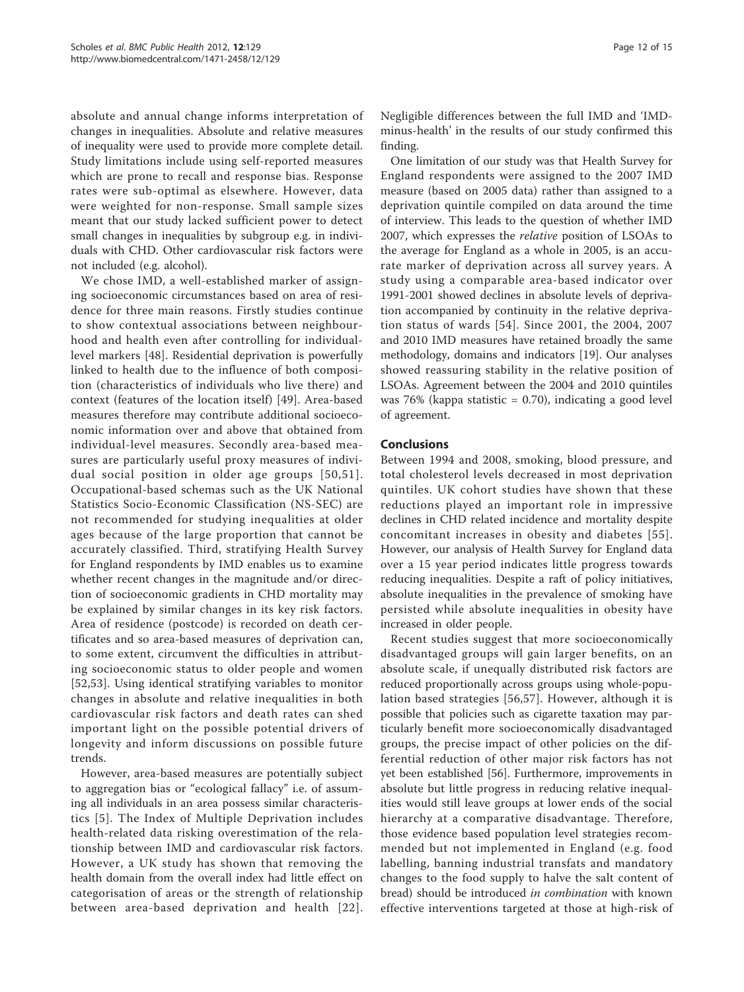absolute and annual change informs interpretation of changes in inequalities. Absolute and relative measures of inequality were used to provide more complete detail. Study limitations include using self-reported measures which are prone to recall and response bias. Response rates were sub-optimal as elsewhere. However, data were weighted for non-response. Small sample sizes meant that our study lacked sufficient power to detect small changes in inequalities by subgroup e.g. in individuals with CHD. Other cardiovascular risk factors were not included (e.g. alcohol).

We chose IMD, a well-established marker of assigning socioeconomic circumstances based on area of residence for three main reasons. Firstly studies continue to show contextual associations between neighbourhood and health even after controlling for individuallevel markers [[48](#page-13-0)]. Residential deprivation is powerfully linked to health due to the influence of both composition (characteristics of individuals who live there) and context (features of the location itself) [[49\]](#page-13-0). Area-based measures therefore may contribute additional socioeconomic information over and above that obtained from individual-level measures. Secondly area-based measures are particularly useful proxy measures of individual social position in older age groups [[50](#page-13-0),[51\]](#page-13-0). Occupational-based schemas such as the UK National Statistics Socio-Economic Classification (NS-SEC) are not recommended for studying inequalities at older ages because of the large proportion that cannot be accurately classified. Third, stratifying Health Survey for England respondents by IMD enables us to examine whether recent changes in the magnitude and/or direction of socioeconomic gradients in CHD mortality may be explained by similar changes in its key risk factors. Area of residence (postcode) is recorded on death certificates and so area-based measures of deprivation can, to some extent, circumvent the difficulties in attributing socioeconomic status to older people and women [[52,53\]](#page-14-0). Using identical stratifying variables to monitor changes in absolute and relative inequalities in both cardiovascular risk factors and death rates can shed important light on the possible potential drivers of longevity and inform discussions on possible future trends.

However, area-based measures are potentially subject to aggregation bias or "ecological fallacy" i.e. of assuming all individuals in an area possess similar characteristics [[5\]](#page-12-0). The Index of Multiple Deprivation includes health-related data risking overestimation of the relationship between IMD and cardiovascular risk factors. However, a UK study has shown that removing the health domain from the overall index had little effect on categorisation of areas or the strength of relationship between area-based deprivation and health [[22\]](#page-13-0). Negligible differences between the full IMD and 'IMDminus-health' in the results of our study confirmed this finding.

One limitation of our study was that Health Survey for England respondents were assigned to the 2007 IMD measure (based on 2005 data) rather than assigned to a deprivation quintile compiled on data around the time of interview. This leads to the question of whether IMD 2007, which expresses the relative position of LSOAs to the average for England as a whole in 2005, is an accurate marker of deprivation across all survey years. A study using a comparable area-based indicator over 1991-2001 showed declines in absolute levels of deprivation accompanied by continuity in the relative deprivation status of wards [[54](#page-14-0)]. Since 2001, the 2004, 2007 and 2010 IMD measures have retained broadly the same methodology, domains and indicators [[19\]](#page-13-0). Our analyses showed reassuring stability in the relative position of LSOAs. Agreement between the 2004 and 2010 quintiles was 76% (kappa statistic  $= 0.70$ ), indicating a good level of agreement.

#### Conclusions

Between 1994 and 2008, smoking, blood pressure, and total cholesterol levels decreased in most deprivation quintiles. UK cohort studies have shown that these reductions played an important role in impressive declines in CHD related incidence and mortality despite concomitant increases in obesity and diabetes [[55\]](#page-14-0). However, our analysis of Health Survey for England data over a 15 year period indicates little progress towards reducing inequalities. Despite a raft of policy initiatives, absolute inequalities in the prevalence of smoking have persisted while absolute inequalities in obesity have increased in older people.

Recent studies suggest that more socioeconomically disadvantaged groups will gain larger benefits, on an absolute scale, if unequally distributed risk factors are reduced proportionally across groups using whole-population based strategies [\[56,57](#page-14-0)]. However, although it is possible that policies such as cigarette taxation may particularly benefit more socioeconomically disadvantaged groups, the precise impact of other policies on the differential reduction of other major risk factors has not yet been established [\[56](#page-14-0)]. Furthermore, improvements in absolute but little progress in reducing relative inequalities would still leave groups at lower ends of the social hierarchy at a comparative disadvantage. Therefore, those evidence based population level strategies recommended but not implemented in England (e.g. food labelling, banning industrial transfats and mandatory changes to the food supply to halve the salt content of bread) should be introduced in combination with known effective interventions targeted at those at high-risk of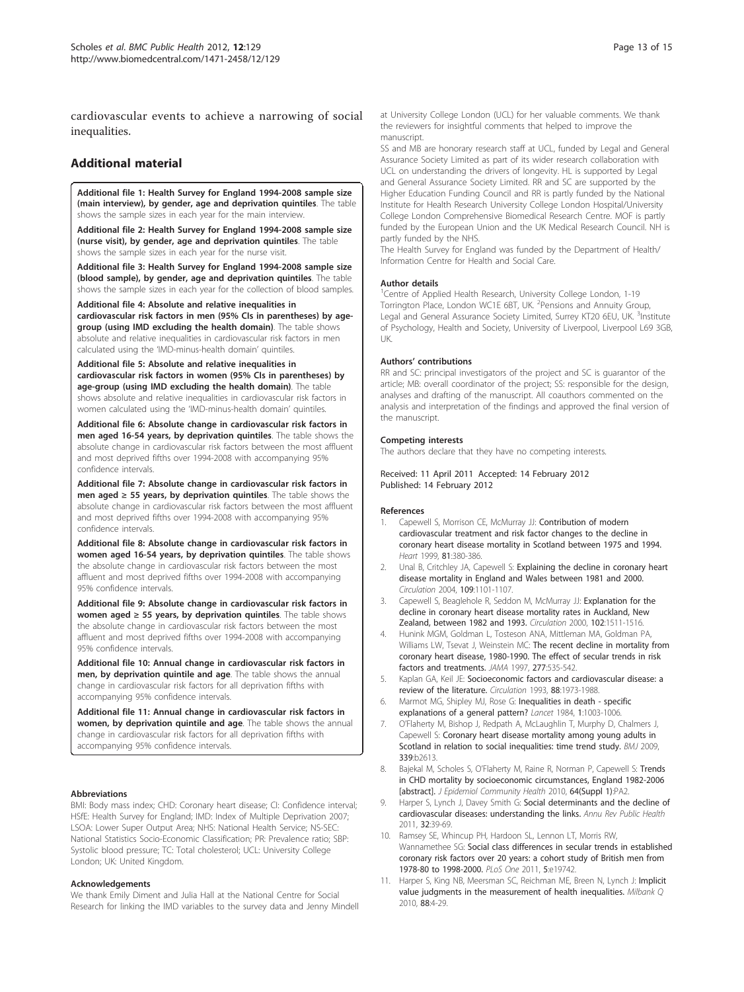<span id="page-12-0"></span>cardiovascular events to achieve a narrowing of social inequalities.

# Additional material

[Additional file 1: H](http://www.biomedcentral.com/content/supplementary/1471-2458-12-129-S1.PDF)ealth Survey for England 1994-2008 sample size (main interview), by gender, age and deprivation quintiles. The table shows the sample sizes in each year for the main interview.

[Additional file 2: H](http://www.biomedcentral.com/content/supplementary/1471-2458-12-129-S2.PDF)ealth Survey for England 1994-2008 sample size (nurse visit), by gender, age and deprivation quintiles. The table shows the sample sizes in each year for the nurse visit.

[Additional file 3: H](http://www.biomedcentral.com/content/supplementary/1471-2458-12-129-S3.PDF)ealth Survey for England 1994-2008 sample size (blood sample), by gender, age and deprivation quintiles. The table shows the sample sizes in each year for the collection of blood samples.

[Additional file 4: A](http://www.biomedcentral.com/content/supplementary/1471-2458-12-129-S4.PDF)bsolute and relative inequalities in cardiovascular risk factors in men (95% CIs in parentheses) by agegroup (using IMD excluding the health domain). The table shows absolute and relative inequalities in cardiovascular risk factors in men calculated using the 'IMD-minus-health domain' quintiles.

[Additional file 5: A](http://www.biomedcentral.com/content/supplementary/1471-2458-12-129-S5.PDF)bsolute and relative inequalities in cardiovascular risk factors in women (95% CIs in parentheses) by age-group (using IMD excluding the health domain). The table shows absolute and relative inequalities in cardiovascular risk factors in women calculated using the 'IMD-minus-health domain' quintiles.

[Additional file 6: A](http://www.biomedcentral.com/content/supplementary/1471-2458-12-129-S6.PDF)bsolute change in cardiovascular risk factors in men aged 16-54 years, by deprivation quintiles. The table shows the absolute change in cardiovascular risk factors between the most affluent and most deprived fifths over 1994-2008 with accompanying 95% confidence intervals.

[Additional file 7: A](http://www.biomedcentral.com/content/supplementary/1471-2458-12-129-S7.PDF)bsolute change in cardiovascular risk factors in men aged ≥ 55 years, by deprivation quintiles. The table shows the absolute change in cardiovascular risk factors between the most affluent and most deprived fifths over 1994-2008 with accompanying 95% confidence intervals.

[Additional file 8: A](http://www.biomedcentral.com/content/supplementary/1471-2458-12-129-S8.PDF)bsolute change in cardiovascular risk factors in women aged 16-54 years, by deprivation quintiles. The table shows the absolute change in cardiovascular risk factors between the most affluent and most deprived fifths over 1994-2008 with accompanying 95% confidence intervals.

[Additional file 9: A](http://www.biomedcentral.com/content/supplementary/1471-2458-12-129-S9.PDF)bsolute change in cardiovascular risk factors in women aged  $\geq$  55 years, by deprivation quintiles. The table shows the absolute change in cardiovascular risk factors between the most affluent and most deprived fifths over 1994-2008 with accompanying 95% confidence intervals.

[Additional file 10: A](http://www.biomedcentral.com/content/supplementary/1471-2458-12-129-S10.PDF)nnual change in cardiovascular risk factors in men, by deprivation quintile and age. The table shows the annual change in cardiovascular risk factors for all deprivation fifths with accompanying 95% confidence intervals.

[Additional file 11: A](http://www.biomedcentral.com/content/supplementary/1471-2458-12-129-S11.PDF)nnual change in cardiovascular risk factors in women, by deprivation quintile and age. The table shows the annual change in cardiovascular risk factors for all deprivation fifths with accompanying 95% confidence intervals.

#### Abbreviations

BMI: Body mass index; CHD: Coronary heart disease; CI: Confidence interval; HSfE: Health Survey for England; IMD: Index of Multiple Deprivation 2007; LSOA: Lower Super Output Area; NHS: National Health Service; NS-SEC: National Statistics Socio-Economic Classification; PR: Prevalence ratio; SBP: Systolic blood pressure; TC: Total cholesterol; UCL: University College London; UK: United Kingdom.

#### Acknowledgements

We thank Emily Diment and Julia Hall at the National Centre for Social Research for linking the IMD variables to the survey data and Jenny Mindell

SS and MB are honorary research staff at UCL, funded by Legal and General Assurance Society Limited as part of its wider research collaboration with UCL on understanding the drivers of longevity. HL is supported by Legal and General Assurance Society Limited. RR and SC are supported by the Higher Education Funding Council and RR is partly funded by the National Institute for Health Research University College London Hospital/University College London Comprehensive Biomedical Research Centre. MOF is partly funded by the European Union and the UK Medical Research Council. NH is partly funded by the NHS.

The Health Survey for England was funded by the Department of Health/ Information Centre for Health and Social Care.

#### Author details

<sup>1</sup> Centre of Applied Health Research, University College London, 1-19 Torrington Place, London WC1E 6BT, UK. <sup>2</sup> Pensions and Annuity Group, Legal and General Assurance Society Limited, Surrey KT20 6EU, UK. <sup>3</sup>Institute of Psychology, Health and Society, University of Liverpool, Liverpool L69 3GB, UK.

#### Authors' contributions

RR and SC: principal investigators of the project and SC is guarantor of the article; MB: overall coordinator of the project; SS: responsible for the design, analyses and drafting of the manuscript. All coauthors commented on the analysis and interpretation of the findings and approved the final version of the manuscript.

#### Competing interests

The authors declare that they have no competing interests.

#### Received: 11 April 2011 Accepted: 14 February 2012 Published: 14 February 2012

#### References

- 1. Capewell S, Morrison CE, McMurray JJ: [Contribution of modern](http://www.ncbi.nlm.nih.gov/pubmed/10092564?dopt=Abstract) [cardiovascular treatment and risk factor changes to the decline in](http://www.ncbi.nlm.nih.gov/pubmed/10092564?dopt=Abstract) [coronary heart disease mortality in Scotland between 1975 and 1994.](http://www.ncbi.nlm.nih.gov/pubmed/10092564?dopt=Abstract) Heart 1999, 81:380-386.
- 2. Unal B, Critchley JA, Capewell S: [Explaining the decline in coronary heart](http://www.ncbi.nlm.nih.gov/pubmed/14993137?dopt=Abstract) [disease mortality in England and Wales between 1981 and 2000.](http://www.ncbi.nlm.nih.gov/pubmed/14993137?dopt=Abstract) Circulation 2004, 109:1101-1107.
- 3. Capewell S, Beaglehole R, Seddon M, McMurray JJ: [Explanation for the](http://www.ncbi.nlm.nih.gov/pubmed/11004141?dopt=Abstract) [decline in coronary heart disease mortality rates in Auckland, New](http://www.ncbi.nlm.nih.gov/pubmed/11004141?dopt=Abstract) [Zealand, between 1982 and 1993.](http://www.ncbi.nlm.nih.gov/pubmed/11004141?dopt=Abstract) Circulation 2000, 102:1511-1516.
- 4. Hunink MGM, Goldman L, Tosteson ANA, Mittleman MA, Goldman PA, Williams LW, Tsevat J, Weinstein MC: [The recent decline in mortality from](http://www.ncbi.nlm.nih.gov/pubmed/9032159?dopt=Abstract) [coronary heart disease, 1980-1990. The effect of secular trends in risk](http://www.ncbi.nlm.nih.gov/pubmed/9032159?dopt=Abstract) [factors and treatments.](http://www.ncbi.nlm.nih.gov/pubmed/9032159?dopt=Abstract) JAMA 1997, 277:535-542.
- 5. Kaplan GA, Keil JE: [Socioeconomic factors and cardiovascular disease: a](http://www.ncbi.nlm.nih.gov/pubmed/8403348?dopt=Abstract) [review of the literature.](http://www.ncbi.nlm.nih.gov/pubmed/8403348?dopt=Abstract) Circulation 1993, 88:1973-1988.
- 6. Marmot MG, Shipley MJ, Rose G: [Inequalities in death specific](http://www.ncbi.nlm.nih.gov/pubmed/6143919?dopt=Abstract) [explanations of a general pattern?](http://www.ncbi.nlm.nih.gov/pubmed/6143919?dopt=Abstract) Lancet 1984, 1:1003-1006.
- 7. O'Flaherty M, Bishop J, Redpath A, McLaughlin T, Murphy D, Chalmers J, Capewell S: [Coronary heart disease mortality among young adults in](http://www.ncbi.nlm.nih.gov/pubmed/19602713?dopt=Abstract) [Scotland in relation to social inequalities: time trend study.](http://www.ncbi.nlm.nih.gov/pubmed/19602713?dopt=Abstract) BMJ 2009, 339:b2613.
- 8. Bajekal M, Scholes S, O'Flaherty M, Raine R, Norman P, Capewell S: Trends in CHD mortality by socioeconomic circumstances, England 1982-2006 [abstract]. J Epidemiol Community Health 2010, 64(Suppl 1):PA2.
- 9. Harper S, Lynch J, Davey Smith G: [Social determinants and the decline of](http://www.ncbi.nlm.nih.gov/pubmed/21219168?dopt=Abstract) [cardiovascular diseases: understanding the links.](http://www.ncbi.nlm.nih.gov/pubmed/21219168?dopt=Abstract) Annu Rev Public Health 2011, 32:39-69.
- 10. Ramsey SE, Whincup PH, Hardoon SL, Lennon LT, Morris RW, Wannamethee SG: Social class differences in secular trends in established coronary risk factors over 20 years: a cohort study of British men from 1978-80 to 1998-2000. PLoS One 2011, 5:e19742.
- 11. Harper S, King NB, Meersman SC, Reichman ME, Breen N, Lynch J: [Implicit](http://www.ncbi.nlm.nih.gov/pubmed/20377756?dopt=Abstract) [value judgments in the measurement of health inequalities.](http://www.ncbi.nlm.nih.gov/pubmed/20377756?dopt=Abstract) Milbank Q 2010, 88:4-29.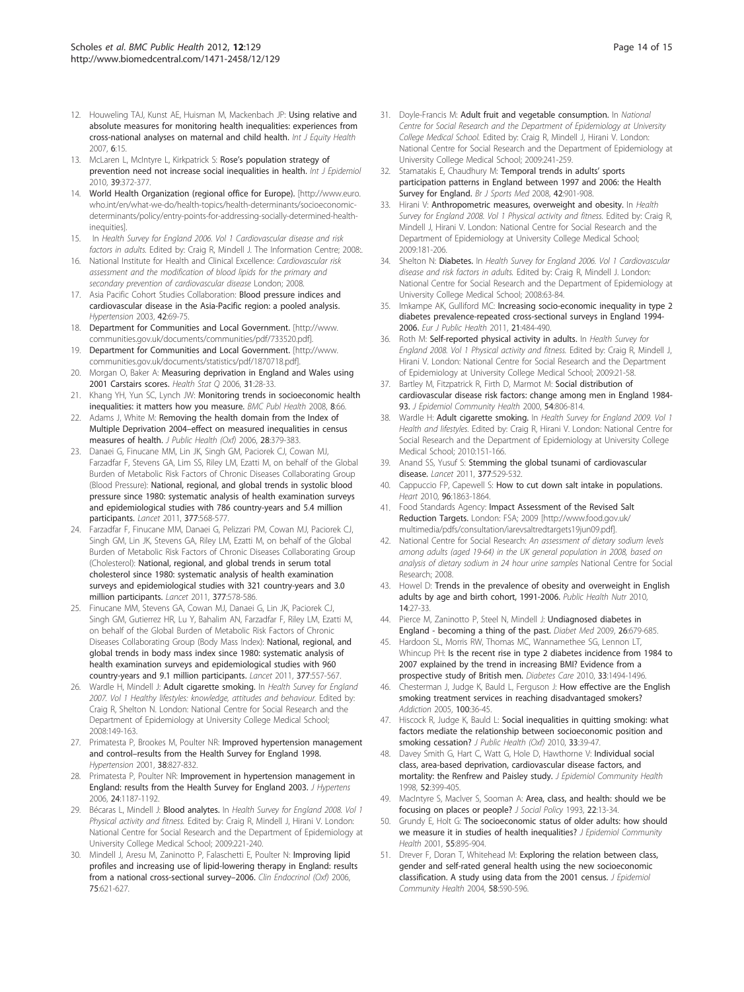- <span id="page-13-0"></span>12. Houweling TAJ, Kunst AE, Huisman M, Mackenbach JP: [Using relative and](http://www.ncbi.nlm.nih.gov/pubmed/17967166?dopt=Abstract) [absolute measures for monitoring health inequalities: experiences from](http://www.ncbi.nlm.nih.gov/pubmed/17967166?dopt=Abstract) [cross-national analyses on maternal and child health.](http://www.ncbi.nlm.nih.gov/pubmed/17967166?dopt=Abstract) Int J Equity Health 2007, 6:15.
- 13. McLaren L, McIntyre L, Kirkpatrick S: Rose'[s population strategy of](http://www.ncbi.nlm.nih.gov/pubmed/19887510?dopt=Abstract) [prevention need not increase social inequalities in health.](http://www.ncbi.nlm.nih.gov/pubmed/19887510?dopt=Abstract) Int J Epidemiol 2010, 39:372-377.
- 14. World Health Organization (regional office for Europe). [\[http://www.euro.](http://www.euro.who.int/en/what-we-do/health-topics/health-determinants/socioeconomic-determinants/policy/entry-points-for-addressing-socially-determined-health-inequities) [who.int/en/what-we-do/health-topics/health-determinants/socioeconomic](http://www.euro.who.int/en/what-we-do/health-topics/health-determinants/socioeconomic-determinants/policy/entry-points-for-addressing-socially-determined-health-inequities)[determinants/policy/entry-points-for-addressing-socially-determined-health](http://www.euro.who.int/en/what-we-do/health-topics/health-determinants/socioeconomic-determinants/policy/entry-points-for-addressing-socially-determined-health-inequities)[inequities\]](http://www.euro.who.int/en/what-we-do/health-topics/health-determinants/socioeconomic-determinants/policy/entry-points-for-addressing-socially-determined-health-inequities).
- 15. In Health Survey for England 2006. Vol 1 Cardiovascular disease and risk factors in adults. Edited by: Craig R, Mindell J. The Information Centre; 2008:.
- 16. National Institute for Health and Clinical Excellence: Cardiovascular risk assessment and the modification of blood lipids for the primary and secondary prevention of cardiovascular disease London; 2008.
- 17. Asia Pacific Cohort Studies Collaboration: [Blood pressure indices and](http://www.ncbi.nlm.nih.gov/pubmed/12756223?dopt=Abstract) [cardiovascular disease in the Asia-Pacific region: a pooled analysis.](http://www.ncbi.nlm.nih.gov/pubmed/12756223?dopt=Abstract) Hypertension 2003, 42:69-75.
- 18. Department for Communities and Local Government. [\[http://www.](http://www.communities.gov.uk/documents/communities/pdf/733520.pdf) [communities.gov.uk/documents/communities/pdf/733520.pdf\]](http://www.communities.gov.uk/documents/communities/pdf/733520.pdf).
- 19. Department for Communities and Local Government. [\[http://www.](http://www.communities.gov.uk/documents/statistics/pdf/1870718.pdf) [communities.gov.uk/documents/statistics/pdf/1870718.pdf\]](http://www.communities.gov.uk/documents/statistics/pdf/1870718.pdf).
- 20. Morgan O, Baker A: [Measuring deprivation in England and Wales using](http://www.ncbi.nlm.nih.gov/pubmed/16972693?dopt=Abstract) [2001 Carstairs scores.](http://www.ncbi.nlm.nih.gov/pubmed/16972693?dopt=Abstract) Health Stat Q 2006, 31:28-33.
- 21. Khang YH, Yun SC, Lynch JW: Monitoring trends in socioeconomic health inequalities: it matters how you measure. BMC Publ Health 2008, 8:66.
- 22. Adams J, White M: Removing the health domain from the Index of Multiple Deprivation 2004–effect on measured inequalities in census measures of health. J Public Health (Oxf) 2006, 28:379-383.
- 23. Danaei G, Finucane MM, Lin JK, Singh GM, Paciorek CJ, Cowan MJ, Farzadfar F, Stevens GA, Lim SS, Riley LM, Ezatti M, on behalf of the Global Burden of Metabolic Risk Factors of Chronic Diseases Collaborating Group (Blood Pressure): [National, regional, and global trends in systolic blood](http://www.ncbi.nlm.nih.gov/pubmed/21295844?dopt=Abstract) [pressure since 1980: systematic analysis of health examination surveys](http://www.ncbi.nlm.nih.gov/pubmed/21295844?dopt=Abstract) [and epidemiological studies with 786 country-years and 5.4 million](http://www.ncbi.nlm.nih.gov/pubmed/21295844?dopt=Abstract) [participants.](http://www.ncbi.nlm.nih.gov/pubmed/21295844?dopt=Abstract) Lancet 2011, 377:568-577.
- 24. Farzadfar F, Finucane MM, Danaei G, Pelizzari PM, Cowan MJ, Paciorek CJ, Singh GM, Lin JK, Stevens GA, Riley LM, Ezatti M, on behalf of the Global Burden of Metabolic Risk Factors of Chronic Diseases Collaborating Group (Cholesterol): [National, regional, and global trends in serum total](http://www.ncbi.nlm.nih.gov/pubmed/21295847?dopt=Abstract) [cholesterol since 1980: systematic analysis of health examination](http://www.ncbi.nlm.nih.gov/pubmed/21295847?dopt=Abstract) [surveys and epidemiological studies with 321 country-years and 3.0](http://www.ncbi.nlm.nih.gov/pubmed/21295847?dopt=Abstract) [million participants.](http://www.ncbi.nlm.nih.gov/pubmed/21295847?dopt=Abstract) Lancet 2011, 377:578-586.
- 25. Finucane MM, Stevens GA, Cowan MJ, Danaei G, Lin JK, Paciorek CJ, Singh GM, Gutierrez HR, Lu Y, Bahalim AN, Farzadfar F, Riley LM, Ezatti M, on behalf of the Global Burden of Metabolic Risk Factors of Chronic Diseases Collaborating Group (Body Mass Index): [National, regional, and](http://www.ncbi.nlm.nih.gov/pubmed/21295846?dopt=Abstract) [global trends in body mass index since 1980: systematic analysis of](http://www.ncbi.nlm.nih.gov/pubmed/21295846?dopt=Abstract) [health examination surveys and epidemiological studies with 960](http://www.ncbi.nlm.nih.gov/pubmed/21295846?dopt=Abstract) [country-years and 9.1 million participants.](http://www.ncbi.nlm.nih.gov/pubmed/21295846?dopt=Abstract) Lancet 2011, 377:557-567.
- 26. Wardle H, Mindell J: Adult cigarette smoking. In Health Survey for England 2007. Vol 1 Healthy lifestyles: knowledge, attitudes and behaviour. Edited by: Craig R, Shelton N. London: National Centre for Social Research and the Department of Epidemiology at University College Medical School; 2008:149-163.
- 27. Primatesta P, Brookes M, Poulter NR: [Improved hypertension management](http://www.ncbi.nlm.nih.gov/pubmed/11641294?dopt=Abstract) and control–[results from the Health Survey for England 1998.](http://www.ncbi.nlm.nih.gov/pubmed/11641294?dopt=Abstract) Hypertension 2001, 38:827-832.
- 28. Primatesta P, Poulter NR: [Improvement in hypertension management in](http://www.ncbi.nlm.nih.gov/pubmed/16685220?dopt=Abstract) [England: results from the Health Survey for England 2003.](http://www.ncbi.nlm.nih.gov/pubmed/16685220?dopt=Abstract) J Hypertens 2006, 24:1187-1192.
- 29. Bécaras L, Mindell J: Blood analytes. In Health Survey for England 2008. Vol 1 Physical activity and fitness. Edited by: Craig R, Mindell J, Hirani V. London: National Centre for Social Research and the Department of Epidemiology at University College Medical School; 2009:221-240.
- 30. Mindell J, Aresu M, Zaninotto P, Falaschetti E, Poulter N: Improving lipid profiles and increasing use of lipid-lowering therapy in England: results from a national cross-sectional survey-2006. Clin Endocrinol (Oxf) 2006, 75:621-627.
- 31. Doyle-Francis M: Adult fruit and vegetable consumption. In National Centre for Social Research and the Department of Epidemiology at University College Medical School. Edited by: Craig R, Mindell J, Hirani V. London: National Centre for Social Research and the Department of Epidemiology at University College Medical School; 2009:241-259.
- 32. Stamatakis E, Chaudhury M: [Temporal trends in adults](http://www.ncbi.nlm.nih.gov/pubmed/18658250?dopt=Abstract)' sports [participation patterns in England between 1997 and 2006: the Health](http://www.ncbi.nlm.nih.gov/pubmed/18658250?dopt=Abstract) [Survey for England.](http://www.ncbi.nlm.nih.gov/pubmed/18658250?dopt=Abstract) Br J Sports Med 2008, 42:901-908.
- 33. Hirani V: Anthropometric measures, overweight and obesity. In Health Survey for England 2008. Vol 1 Physical activity and fitness. Edited by: Craig R, Mindell J, Hirani V. London: National Centre for Social Research and the Department of Epidemiology at University College Medical School; 2009:181-206.
- 34. Shelton N: Diabetes. In Health Survey for England 2006. Vol 1 Cardiovascular disease and risk factors in adults. Edited by: Craig R, Mindell J. London: National Centre for Social Research and the Department of Epidemiology at University College Medical School; 2008:63-84.
- 35. Imkampe AK, Gulliford MC: [Increasing socio-economic inequality in type 2](http://www.ncbi.nlm.nih.gov/pubmed/20685812?dopt=Abstract) [diabetes prevalence-repeated cross-sectional surveys in England 1994-](http://www.ncbi.nlm.nih.gov/pubmed/20685812?dopt=Abstract) [2006.](http://www.ncbi.nlm.nih.gov/pubmed/20685812?dopt=Abstract) Eur J Public Health 2011, 21:484-490.
- 36. Roth M: Self-reported physical activity in adults. In Health Survey for England 2008. Vol 1 Physical activity and fitness. Edited by: Craig R, Mindell J, Hirani V. London: National Centre for Social Research and the Department of Epidemiology at University College Medical School; 2009:21-58.
- 37. Bartley M, Fitzpatrick R, Firth D, Marmot M: [Social distribution of](http://www.ncbi.nlm.nih.gov/pubmed/11027193?dopt=Abstract) [cardiovascular disease risk factors: change among men in England 1984-](http://www.ncbi.nlm.nih.gov/pubmed/11027193?dopt=Abstract) [93.](http://www.ncbi.nlm.nih.gov/pubmed/11027193?dopt=Abstract) J Epidemiol Community Health 2000, 54:806-814.
- 38. Wardle H: Adult cigarette smoking. In Health Survey for England 2009. Vol 1 Health and lifestyles. Edited by: Craig R, Hirani V. London: National Centre for Social Research and the Department of Epidemiology at University College Medical School; 2010:151-166.
- 39. Anand SS, Yusuf S: [Stemming the global tsunami of cardiovascular](http://www.ncbi.nlm.nih.gov/pubmed/21295845?dopt=Abstract) [disease.](http://www.ncbi.nlm.nih.gov/pubmed/21295845?dopt=Abstract) Lancet 2011, 377:529-532.
- 40. Cappuccio FP, Capewell S: [How to cut down salt intake in populations.](http://www.ncbi.nlm.nih.gov/pubmed/21062774?dopt=Abstract) Heart 2010, 96:1863-1864.
- 41. Food Standards Agency: Impact Assessment of the Revised Salt Reduction Targets. London: FSA; 2009 [\[http://www.food.gov.uk/](http://www.food.gov.uk/multimedia/pdfs/consultation/iarevsaltredtargets19jun09.pdf) [multimedia/pdfs/consultation/iarevsaltredtargets19jun09.pdf\]](http://www.food.gov.uk/multimedia/pdfs/consultation/iarevsaltredtargets19jun09.pdf).
- 42. National Centre for Social Research: An assessment of dietary sodium levels among adults (aged 19-64) in the UK general population in 2008, based on analysis of dietary sodium in 24 hour urine samples National Centre for Social Research; 2008.
- 43. Howel D: [Trends in the prevalence of obesity and overweight in English](http://www.ncbi.nlm.nih.gov/pubmed/20338088?dopt=Abstract) [adults by age and birth cohort, 1991-2006.](http://www.ncbi.nlm.nih.gov/pubmed/20338088?dopt=Abstract) Public Health Nutr 2010, 14:27-33.
- 44. Pierce M, Zaninotto P, Steel N, Mindell J: [Undiagnosed diabetes in](http://www.ncbi.nlm.nih.gov/pubmed/19573116?dopt=Abstract) [England - becoming a thing of the past.](http://www.ncbi.nlm.nih.gov/pubmed/19573116?dopt=Abstract) Diabet Med 2009, 26:679-685.
- 45. Hardoon SL, Morris RW, Thomas MC, Wannamethee SG, Lennon LT, Whincup PH: [Is the recent rise in type 2 diabetes incidence from 1984 to](http://www.ncbi.nlm.nih.gov/pubmed/20413526?dopt=Abstract) [2007 explained by the trend in increasing BMI? Evidence from a](http://www.ncbi.nlm.nih.gov/pubmed/20413526?dopt=Abstract) [prospective study of British men.](http://www.ncbi.nlm.nih.gov/pubmed/20413526?dopt=Abstract) Diabetes Care 2010, 33:1494-1496.
- 46. Chesterman J, Judge K, Bauld L, Ferguson J: [How effective are the English](http://www.ncbi.nlm.nih.gov/pubmed/15755261?dopt=Abstract) [smoking treatment services in reaching disadvantaged smokers?](http://www.ncbi.nlm.nih.gov/pubmed/15755261?dopt=Abstract) Addiction 2005, 100:36-45.
- 47. Hiscock R, Judge K, Bauld L: Social inequalities in quitting smoking: what factors mediate the relationship between socioeconomic position and smoking cessation? J Public Health (Oxf) 2010, 33:39-47.
- Davey Smith G, Hart C, Watt G, Hole D, Hawthorne V: [Individual social](http://www.ncbi.nlm.nih.gov/pubmed/9764262?dopt=Abstract) [class, area-based deprivation, cardiovascular disease factors, and](http://www.ncbi.nlm.nih.gov/pubmed/9764262?dopt=Abstract) [mortality: the Renfrew and Paisley study.](http://www.ncbi.nlm.nih.gov/pubmed/9764262?dopt=Abstract) J Epidemiol Community Health 1998, 52:399-405.
- 49. MacIntyre S, MacIver S, Sooman A: Area, class, and health: should we be focusing on places or people? J Social Policy 1993, 22:13-34.
- 50. Grundy E, Holt G: [The socioeconomic status of older adults: how should](http://www.ncbi.nlm.nih.gov/pubmed/11707484?dopt=Abstract) [we measure it in studies of health inequalities?](http://www.ncbi.nlm.nih.gov/pubmed/11707484?dopt=Abstract) J Epidemiol Community Health 2001, 55:895-904.
- 51. Drever F, Doran T, Whitehead M: [Exploring the relation between class,](http://www.ncbi.nlm.nih.gov/pubmed/15194721?dopt=Abstract) [gender and self-rated general health using the new socioeconomic](http://www.ncbi.nlm.nih.gov/pubmed/15194721?dopt=Abstract) [classification. A study using data from the 2001 census.](http://www.ncbi.nlm.nih.gov/pubmed/15194721?dopt=Abstract) *J Epidemiol* Community Health 2004, 58:590-596.